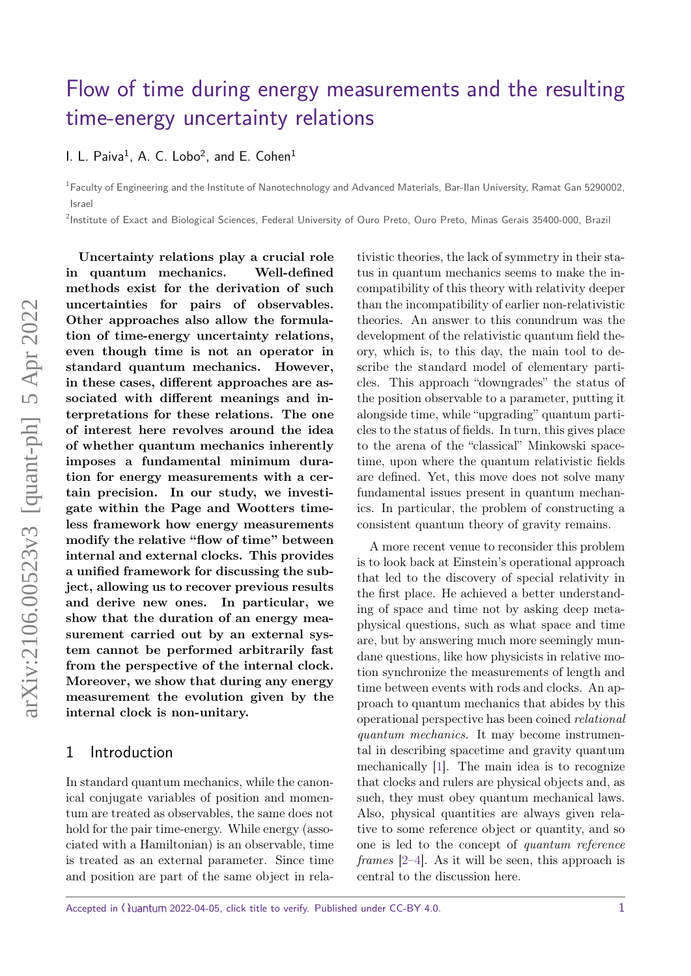# [Flow of time during energy measurements and the resulting](https://quantum-journal.org/?s=Flow%20of%20time%20during%20energy%20measurements%20and%20the%20resulting%20time-energy%20uncertainty%20relations&reason=title-click) [time-energy uncertainty relations](https://quantum-journal.org/?s=Flow%20of%20time%20during%20energy%20measurements%20and%20the%20resulting%20time-energy%20uncertainty%20relations&reason=title-click)

[I. L. Paiva](https://orcid.org/0000-0002-0416-3582) $^1$ , A. C. Lobo $^2$ , and [E. Cohen](https://orcid.org/0000-0001-6198-0725) $^1$ 

<sup>1</sup>Faculty of Engineering and the Institute of Nanotechnology and Advanced Materials, Bar-Ilan University, Ramat Gan 5290002, Israel

2 Institute of Exact and Biological Sciences, Federal University of Ouro Preto, Ouro Preto, Minas Gerais 35400-000, Brazil

**Uncertainty relations play a crucial role in quantum mechanics. Well-defined methods exist for the derivation of such uncertainties for pairs of observables. Other approaches also allow the formulation of time-energy uncertainty relations, even though time is not an operator in standard quantum mechanics. However, in these cases, different approaches are associated with different meanings and interpretations for these relations. The one of interest here revolves around the idea of whether quantum mechanics inherently imposes a fundamental minimum duration for energy measurements with a certain precision. In our study, we investigate within the Page and Wootters timeless framework how energy measurements modify the relative "flow of time" between internal and external clocks. This provides a unified framework for discussing the subject, allowing us to recover previous results and derive new ones. In particular, we show that the duration of an energy measurement carried out by an external system cannot be performed arbitrarily fast from the perspective of the internal clock. Moreover, we show that during any energy measurement the evolution given by the internal clock is non-unitary.**

#### 1 Introduction

In standard quantum mechanics, while the canonical conjugate variables of position and momentum are treated as observables, the same does not hold for the pair time-energy. While energy (associated with a Hamiltonian) is an observable, time is treated as an external parameter. Since time and position are part of the same object in relativistic theories, the lack of symmetry in their status in quantum mechanics seems to make the incompatibility of this theory with relativity deeper than the incompatibility of earlier non-relativistic theories. An answer to this conundrum was the development of the relativistic quantum field theory, which is, to this day, the main tool to describe the standard model of elementary particles. This approach "downgrades" the status of the position observable to a parameter, putting it alongside time, while "upgrading" quantum particles to the status of fields. In turn, this gives place to the arena of the "classical" Minkowski spacetime, upon where the quantum relativistic fields are defined. Yet, this move does not solve many fundamental issues present in quantum mechanics. In particular, the problem of constructing a consistent quantum theory of gravity remains.

A more recent venue to reconsider this problem is to look back at Einstein's operational approach that led to the discovery of special relativity in the first place. He achieved a better understanding of space and time not by asking deep metaphysical questions, such as what space and time are, but by answering much more seemingly mundane questions, like how physicists in relative motion synchronize the measurements of length and time between events with rods and clocks. An approach to quantum mechanics that abides by this operational perspective has been coined relational quantum mechanics. It may become instrumental in describing spacetime and gravity quantum mechanically [\[1\]](#page-11-0). The main idea is to recognize that clocks and rulers are physical objects and, as such, they must obey quantum mechanical laws. Also, physical quantities are always given relative to some reference object or quantity, and so one is led to the concept of quantum reference *frames*  $[2-4]$  $[2-4]$ . As it will be seen, this approach is central to the discussion here.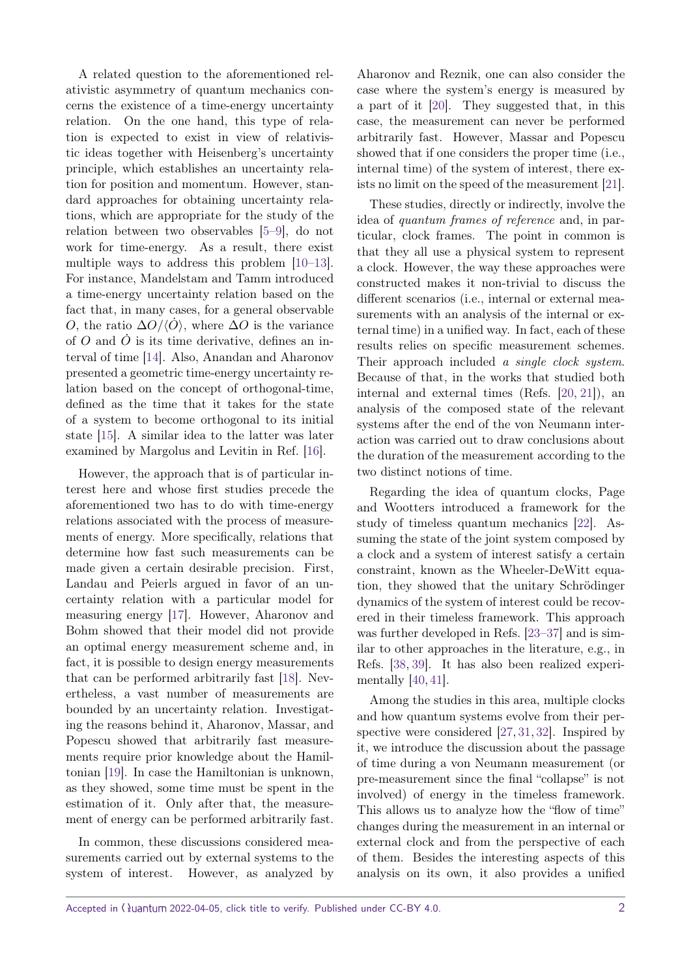A related question to the aforementioned relativistic asymmetry of quantum mechanics concerns the existence of a time-energy uncertainty relation. On the one hand, this type of relation is expected to exist in view of relativistic ideas together with Heisenberg's uncertainty principle, which establishes an uncertainty relation for position and momentum. However, standard approaches for obtaining uncertainty relations, which are appropriate for the study of the relation between two observables [\[5–](#page-11-3)[9\]](#page-11-4), do not work for time-energy. As a result, there exist multiple ways to address this problem [\[10–](#page-11-5)[13\]](#page-11-6). For instance, Mandelstam and Tamm introduced a time-energy uncertainty relation based on the fact that, in many cases, for a general observable *O*, the ratio  $\Delta$ *O*/ $\langle$ *O* $\rangle$ , where  $\Delta$ *O* is the variance of  $O$  and  $\dot{O}$  is its time derivative, defines an interval of time [\[14\]](#page-11-7). Also, Anandan and Aharonov presented a geometric time-energy uncertainty relation based on the concept of orthogonal-time, defined as the time that it takes for the state of a system to become orthogonal to its initial state [\[15\]](#page-12-0). A similar idea to the latter was later examined by Margolus and Levitin in Ref. [\[16\]](#page-12-1).

However, the approach that is of particular interest here and whose first studies precede the aforementioned two has to do with time-energy relations associated with the process of measurements of energy. More specifically, relations that determine how fast such measurements can be made given a certain desirable precision. First, Landau and Peierls argued in favor of an uncertainty relation with a particular model for measuring energy [\[17\]](#page-12-2). However, Aharonov and Bohm showed that their model did not provide an optimal energy measurement scheme and, in fact, it is possible to design energy measurements that can be performed arbitrarily fast [\[18\]](#page-12-3). Nevertheless, a vast number of measurements are bounded by an uncertainty relation. Investigating the reasons behind it, Aharonov, Massar, and Popescu showed that arbitrarily fast measurements require prior knowledge about the Hamiltonian [\[19\]](#page-12-4). In case the Hamiltonian is unknown, as they showed, some time must be spent in the estimation of it. Only after that, the measurement of energy can be performed arbitrarily fast.

In common, these discussions considered measurements carried out by external systems to the system of interest. However, as analyzed by

Aharonov and Reznik, one can also consider the case where the system's energy is measured by a part of it [\[20\]](#page-12-5). They suggested that, in this case, the measurement can never be performed arbitrarily fast. However, Massar and Popescu showed that if one considers the proper time (i.e., internal time) of the system of interest, there exists no limit on the speed of the measurement [\[21\]](#page-12-6).

These studies, directly or indirectly, involve the idea of quantum frames of reference and, in particular, clock frames. The point in common is that they all use a physical system to represent a clock. However, the way these approaches were constructed makes it non-trivial to discuss the different scenarios (i.e., internal or external measurements with an analysis of the internal or external time) in a unified way. In fact, each of these results relies on specific measurement schemes. Their approach included a *single clock system*. Because of that, in the works that studied both internal and external times (Refs. [\[20,](#page-12-5) [21\]](#page-12-6)), an analysis of the composed state of the relevant systems after the end of the von Neumann interaction was carried out to draw conclusions about the duration of the measurement according to the two distinct notions of time.

Regarding the idea of quantum clocks, Page and Wootters introduced a framework for the study of timeless quantum mechanics [\[22\]](#page-12-7). Assuming the state of the joint system composed by a clock and a system of interest satisfy a certain constraint, known as the Wheeler-DeWitt equation, they showed that the unitary Schrödinger dynamics of the system of interest could be recovered in their timeless framework. This approach was further developed in Refs. [\[23–](#page-12-8)[37\]](#page-12-9) and is similar to other approaches in the literature, e.g., in Refs. [\[38,](#page-12-10) [39\]](#page-12-11). It has also been realized experimentally [\[40,](#page-12-12) [41\]](#page-12-13).

Among the studies in this area, multiple clocks and how quantum systems evolve from their perspective were considered [\[27,](#page-12-14) [31,](#page-12-15) [32\]](#page-12-16). Inspired by it, we introduce the discussion about the passage of time during a von Neumann measurement (or pre-measurement since the final "collapse" is not involved) of energy in the timeless framework. This allows us to analyze how the "flow of time" changes during the measurement in an internal or external clock and from the perspective of each of them. Besides the interesting aspects of this analysis on its own, it also provides a unified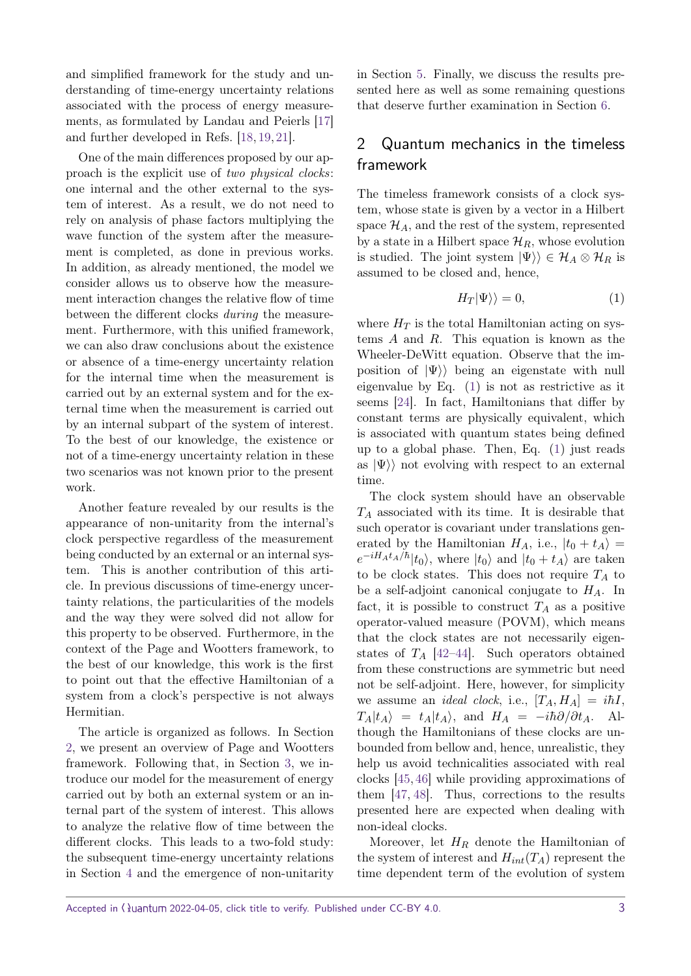and simplified framework for the study and understanding of time-energy uncertainty relations associated with the process of energy measurements, as formulated by Landau and Peierls [\[17\]](#page-12-2) and further developed in Refs. [\[18,](#page-12-3) [19,](#page-12-4) [21\]](#page-12-6).

One of the main differences proposed by our approach is the explicit use of two physical clocks: one internal and the other external to the system of interest. As a result, we do not need to rely on analysis of phase factors multiplying the wave function of the system after the measurement is completed, as done in previous works. In addition, as already mentioned, the model we consider allows us to observe how the measurement interaction changes the relative flow of time between the different clocks during the measurement. Furthermore, with this unified framework, we can also draw conclusions about the existence or absence of a time-energy uncertainty relation for the internal time when the measurement is carried out by an external system and for the external time when the measurement is carried out by an internal subpart of the system of interest. To the best of our knowledge, the existence or not of a time-energy uncertainty relation in these two scenarios was not known prior to the present work.

Another feature revealed by our results is the appearance of non-unitarity from the internal's clock perspective regardless of the measurement being conducted by an external or an internal system. This is another contribution of this article. In previous discussions of time-energy uncertainty relations, the particularities of the models and the way they were solved did not allow for this property to be observed. Furthermore, in the context of the Page and Wootters framework, to the best of our knowledge, this work is the first to point out that the effective Hamiltonian of a system from a clock's perspective is not always Hermitian.

The article is organized as follows. In Section [2,](#page-2-0) we present an overview of Page and Wootters framework. Following that, in Section [3,](#page-3-0) we introduce our model for the measurement of energy carried out by both an external system or an internal part of the system of interest. This allows to analyze the relative flow of time between the different clocks. This leads to a two-fold study: the subsequent time-energy uncertainty relations in Section [4](#page-6-0) and the emergence of non-unitarity in Section [5.](#page-8-0) Finally, we discuss the results presented here as well as some remaining questions that deserve further examination in Section [6.](#page-10-0)

# <span id="page-2-0"></span>2 Quantum mechanics in the timeless framework

The timeless framework consists of a clock system, whose state is given by a vector in a Hilbert space  $\mathcal{H}_A$ , and the rest of the system, represented by a state in a Hilbert space  $\mathcal{H}_R$ , whose evolution is studied. The joint system  $|\Psi\rangle\rangle \in \mathcal{H}_A \otimes \mathcal{H}_R$  is assumed to be closed and, hence,

<span id="page-2-1"></span>
$$
H_T|\Psi\rangle\rangle = 0,\t\t(1)
$$

where  $H_T$  is the total Hamiltonian acting on systems *A* and *R*. This equation is known as the Wheeler-DeWitt equation. Observe that the imposition of  $|\Psi\rangle$  being an eigenstate with null eigenvalue by Eq. [\(1\)](#page-2-1) is not as restrictive as it seems [\[24\]](#page-12-17). In fact, Hamiltonians that differ by constant terms are physically equivalent, which is associated with quantum states being defined up to a global phase. Then, Eq. [\(1\)](#page-2-1) just reads as  $|\Psi\rangle$  not evolving with respect to an external time.

The clock system should have an observable *T<sup>A</sup>* associated with its time. It is desirable that such operator is covariant under translations generated by the Hamiltonian  $H_A$ , i.e.,  $|t_0 + t_A\rangle =$  $e^{-iH_At_A/\hbar}|t_0\rangle$ , where  $|t_0\rangle$  and  $|t_0 + t_A\rangle$  are taken to be clock states. This does not require  $T_A$  to be a self-adjoint canonical conjugate to *HA*. In fact, it is possible to construct  $T_A$  as a positive operator-valued measure (POVM), which means that the clock states are not necessarily eigenstates of  $T_A$  [\[42](#page-13-0)[–44\]](#page-13-1). Such operators obtained from these constructions are symmetric but need not be self-adjoint. Here, however, for simplicity we assume an *ideal clock*, i.e.,  $[T_A, H_A] = i\hbar I$ ,  $T_A|t_A\rangle = t_A|t_A\rangle$ , and  $H_A = -i\hbar\partial/\partial t_A$ . Although the Hamiltonians of these clocks are unbounded from bellow and, hence, unrealistic, they help us avoid technicalities associated with real clocks [\[45,](#page-13-2) [46\]](#page-13-3) while providing approximations of them [\[47,](#page-13-4) [48\]](#page-13-5). Thus, corrections to the results presented here are expected when dealing with non-ideal clocks.

Moreover, let *H<sup>R</sup>* denote the Hamiltonian of the system of interest and  $H_{int}(T_A)$  represent the time dependent term of the evolution of system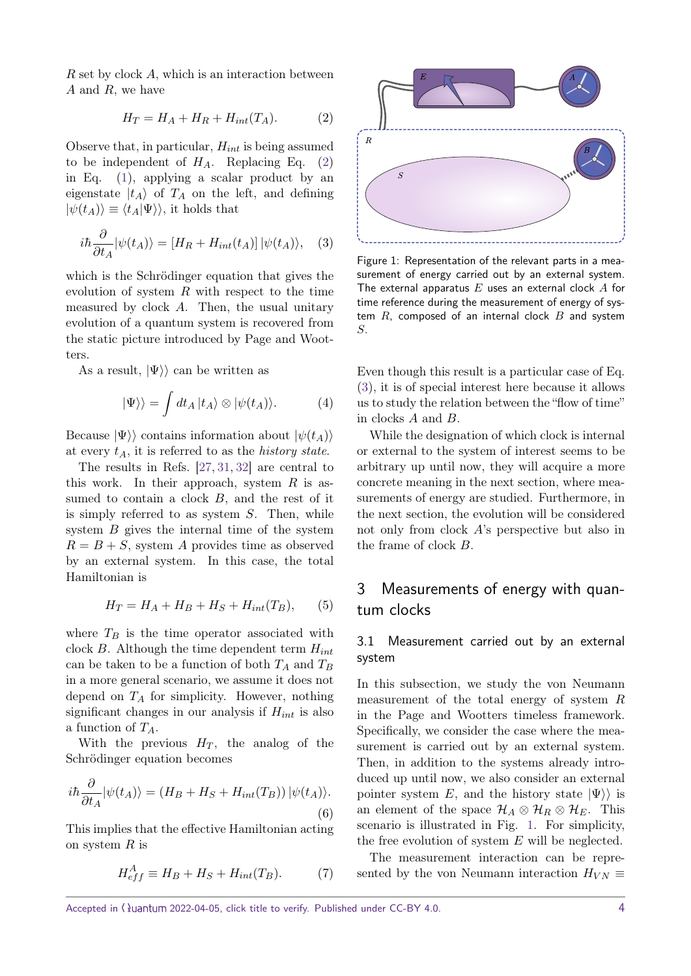*R* set by clock *A*, which is an interaction between *A* and *R*, we have

<span id="page-3-1"></span>
$$
H_T = H_A + H_R + H_{int}(T_A). \tag{2}
$$

Observe that, in particular, *Hint* is being assumed to be independent of  $H_A$ . Replacing Eq. [\(2\)](#page-3-1) in Eq. [\(1\)](#page-2-1), applying a scalar product by an eigenstate  $|t_A\rangle$  of  $T_A$  on the left, and defining  $|\psi(t_A)\rangle \equiv \langle t_A|\Psi\rangle\rangle$ , it holds that

<span id="page-3-2"></span>
$$
i\hbar \frac{\partial}{\partial t_A} |\psi(t_A)\rangle = [H_R + H_{int}(t_A)] |\psi(t_A)\rangle, \quad (3)
$$

which is the Schrödinger equation that gives the evolution of system *R* with respect to the time measured by clock *A*. Then, the usual unitary evolution of a quantum system is recovered from the static picture introduced by Page and Wootters.

As a result,  $|\Psi\rangle$  can be written as

$$
|\Psi\rangle\rangle = \int dt_A |t_A\rangle \otimes |\psi(t_A)\rangle. \tag{4}
$$

Because  $|\Psi\rangle$  contains information about  $|\psi(t_A)\rangle$ at every *tA*, it is referred to as the history state.

The results in Refs. [\[27,](#page-12-14) [31,](#page-12-15) [32\]](#page-12-16) are central to this work. In their approach, system *R* is assumed to contain a clock *B*, and the rest of it is simply referred to as system *S*. Then, while system *B* gives the internal time of the system  $R = B + S$ , system *A* provides time as observed by an external system. In this case, the total Hamiltonian is

$$
H_T = H_A + H_B + H_S + H_{int}(T_B), \qquad (5)
$$

where  $T_B$  is the time operator associated with clock *B*. Although the time dependent term *Hint* can be taken to be a function of both *T<sup>A</sup>* and *T<sup>B</sup>* in a more general scenario, we assume it does not depend on *T<sup>A</sup>* for simplicity. However, nothing significant changes in our analysis if *Hint* is also a function of *TA*.

With the previous  $H_T$ , the analog of the Schrödinger equation becomes

<span id="page-3-4"></span>
$$
i\hbar \frac{\partial}{\partial t_A} |\psi(t_A)\rangle = (H_B + H_S + H_{int}(T_B)) |\psi(t_A)\rangle.
$$
\n(6)

This implies that the effective Hamiltonian acting on system *R* is

$$
H_{eff}^A \equiv H_B + H_S + H_{int}(T_B). \tag{7}
$$

<span id="page-3-3"></span>

Figure 1: Representation of the relevant parts in a measurement of energy carried out by an external system. The external apparatus *E* uses an external clock *A* for time reference during the measurement of energy of system *R*, composed of an internal clock *B* and system *S*.

Even though this result is a particular case of Eq. [\(3\)](#page-3-2), it is of special interest here because it allows us to study the relation between the "flow of time" in clocks *A* and *B*.

While the designation of which clock is internal or external to the system of interest seems to be arbitrary up until now, they will acquire a more concrete meaning in the next section, where measurements of energy are studied. Furthermore, in the next section, the evolution will be considered not only from clock *A*'s perspective but also in the frame of clock *B*.

# <span id="page-3-0"></span>3 Measurements of energy with quantum clocks

#### 3.1 Measurement carried out by an external system

In this subsection, we study the von Neumann measurement of the total energy of system *R* in the Page and Wootters timeless framework. Specifically, we consider the case where the measurement is carried out by an external system. Then, in addition to the systems already introduced up until now, we also consider an external pointer system *E*, and the history state  $|\Psi\rangle$  is an element of the space  $\mathcal{H}_A \otimes \mathcal{H}_R \otimes \mathcal{H}_E$ . This scenario is illustrated in Fig. [1.](#page-3-3) For simplicity, the free evolution of system *E* will be neglected.

The measurement interaction can be represented by the von Neumann interaction  $H_{VN} \equiv$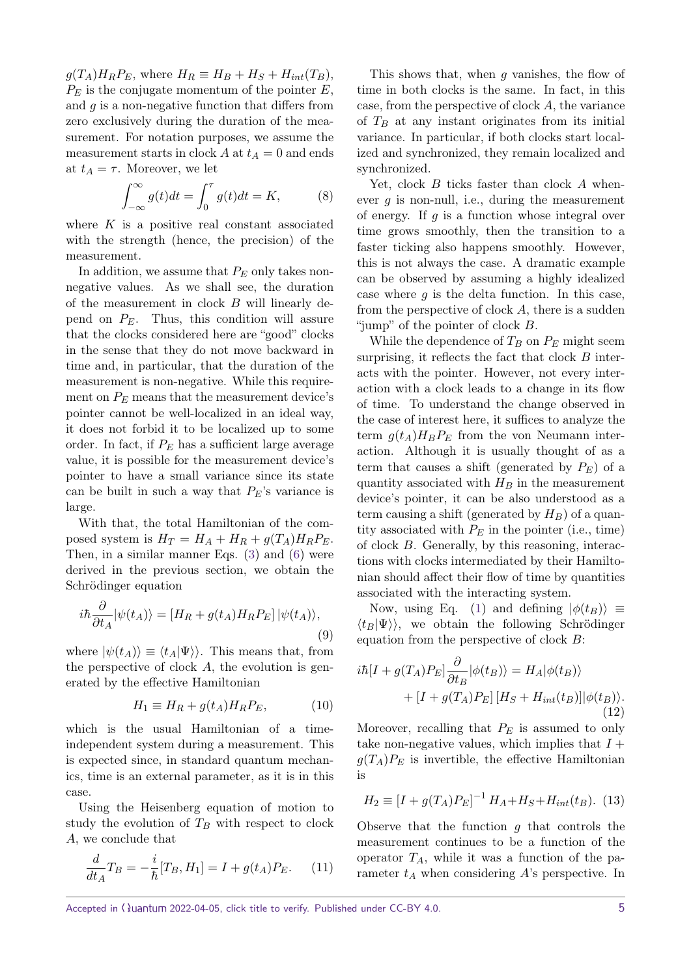$g(T_A)H_RP_E$ , where  $H_R \equiv H_B + H_S + H_{int}(T_B)$ , *P<sup>E</sup>* is the conjugate momentum of the pointer *E*, and *g* is a non-negative function that differs from zero exclusively during the duration of the measurement. For notation purposes, we assume the measurement starts in clock  $A$  at  $t_A = 0$  and ends at  $t_A = \tau$ . Moreover, we let

$$
\int_{-\infty}^{\infty} g(t)dt = \int_{0}^{\tau} g(t)dt = K,
$$
 (8)

where *K* is a positive real constant associated with the strength (hence, the precision) of the measurement.

In addition, we assume that *P<sup>E</sup>* only takes nonnegative values. As we shall see, the duration of the measurement in clock *B* will linearly depend on *PE*. Thus, this condition will assure that the clocks considered here are "good" clocks in the sense that they do not move backward in time and, in particular, that the duration of the measurement is non-negative. While this requirement on  $P_E$  means that the measurement device's pointer cannot be well-localized in an ideal way, it does not forbid it to be localized up to some order. In fact, if *P<sup>E</sup>* has a sufficient large average value, it is possible for the measurement device's pointer to have a small variance since its state can be built in such a way that *PE*'s variance is large.

With that, the total Hamiltonian of the composed system is  $H_T = H_A + H_R + g(T_A)H_RP_E$ . Then, in a similar manner Eqs. [\(3\)](#page-3-2) and [\(6\)](#page-3-4) were derived in the previous section, we obtain the Schrödinger equation

$$
i\hbar \frac{\partial}{\partial t_A} |\psi(t_A)\rangle = [H_R + g(t_A)H_R P_E] |\psi(t_A)\rangle, \tag{9}
$$

where  $|\psi(t_A)\rangle \equiv \langle t_A|\Psi\rangle$ . This means that, from the perspective of clock *A*, the evolution is generated by the effective Hamiltonian

$$
H_1 \equiv H_R + g(t_A)H_R P_E, \tag{10}
$$

which is the usual Hamiltonian of a timeindependent system during a measurement. This is expected since, in standard quantum mechanics, time is an external parameter, as it is in this case.

Using the Heisenberg equation of motion to study the evolution of *T<sup>B</sup>* with respect to clock *A*, we conclude that

<span id="page-4-0"></span>
$$
\frac{d}{dt_A}T_B = -\frac{i}{\hbar}[T_B, H_1] = I + g(t_A)P_E.
$$
 (11)

This shows that, when *g* vanishes, the flow of time in both clocks is the same. In fact, in this case, from the perspective of clock *A*, the variance of  $T_B$  at any instant originates from its initial variance. In particular, if both clocks start localized and synchronized, they remain localized and synchronized.

Yet, clock *B* ticks faster than clock *A* whenever *g* is non-null, i.e., during the measurement of energy. If *g* is a function whose integral over time grows smoothly, then the transition to a faster ticking also happens smoothly. However, this is not always the case. A dramatic example can be observed by assuming a highly idealized case where  $q$  is the delta function. In this case, from the perspective of clock *A*, there is a sudden "jump" of the pointer of clock *B*.

While the dependence of  $T_B$  on  $P_E$  might seem surprising, it reflects the fact that clock *B* interacts with the pointer. However, not every interaction with a clock leads to a change in its flow of time. To understand the change observed in the case of interest here, it suffices to analyze the term  $q(t_A)H_BP_E$  from the von Neumann interaction. Although it is usually thought of as a term that causes a shift (generated by  $P_E$ ) of a quantity associated with  $H_B$  in the measurement device's pointer, it can be also understood as a term causing a shift (generated by *HB*) of a quantity associated with  $P_E$  in the pointer (i.e., time) of clock *B*. Generally, by this reasoning, interactions with clocks intermediated by their Hamiltonian should affect their flow of time by quantities associated with the interacting system.

Now, using Eq. [\(1\)](#page-2-1) and defining  $|\phi(t_B)\rangle \equiv$  $\langle t_B|\Psi\rangle$ , we obtain the following Schrödinger equation from the perspective of clock *B*:

$$
i\hbar[I + g(T_A)P_E] \frac{\partial}{\partial t_B} |\phi(t_B)\rangle = H_A |\phi(t_B)\rangle
$$
  
+ 
$$
[I + g(T_A)P_E] [H_S + H_{int}(t_B)] |\phi(t_B)\rangle.
$$
(12)

Moreover, recalling that *P<sup>E</sup>* is assumed to only take non-negative values, which implies that  $I +$  $g(T_A)P_E$  is invertible, the effective Hamiltonian is

$$
H_2 \equiv [I + g(T_A)P_E]^{-1} H_A + H_S + H_{int}(t_B).
$$
 (13)

Observe that the function *g* that controls the measurement continues to be a function of the operator  $T_A$ , while it was a function of the parameter *t<sup>A</sup>* when considering *A*'s perspective. In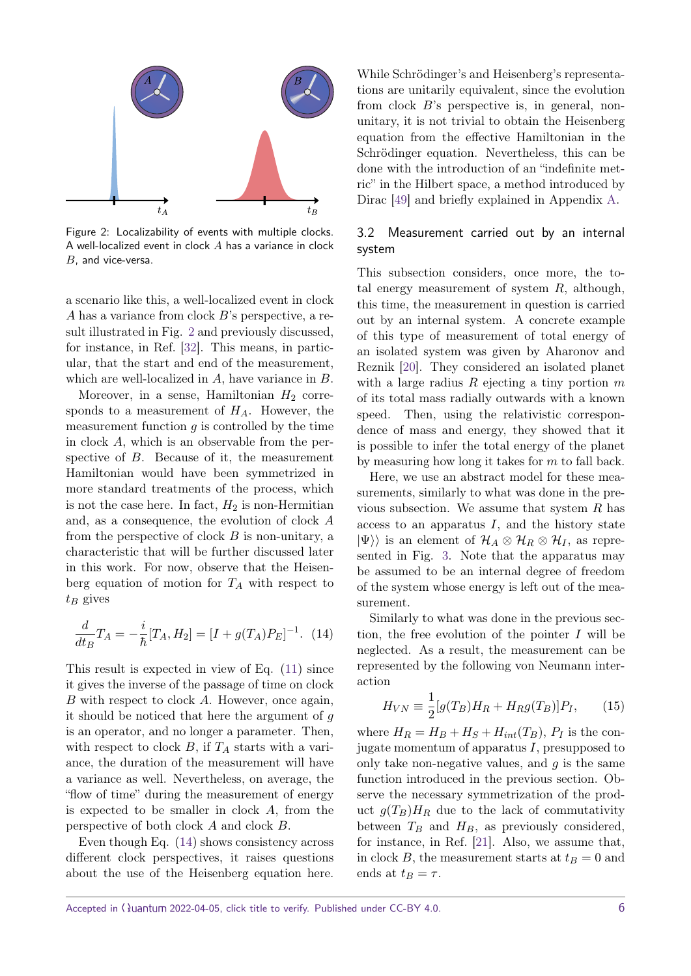<span id="page-5-0"></span>

Figure 2: Localizability of events with multiple clocks. A well-localized event in clock *A* has a variance in clock *B*, and vice-versa.

a scenario like this, a well-localized event in clock *A* has a variance from clock *B*'s perspective, a result illustrated in Fig. [2](#page-5-0) and previously discussed, for instance, in Ref. [\[32\]](#page-12-16). This means, in particular, that the start and end of the measurement, which are well-localized in *A*, have variance in *B*.

Moreover, in a sense, Hamiltonian  $H_2$  corresponds to a measurement of *HA*. However, the measurement function *g* is controlled by the time in clock *A*, which is an observable from the perspective of *B*. Because of it, the measurement Hamiltonian would have been symmetrized in more standard treatments of the process, which is not the case here. In fact,  $H_2$  is non-Hermitian and, as a consequence, the evolution of clock *A* from the perspective of clock *B* is non-unitary, a characteristic that will be further discussed later in this work. For now, observe that the Heisenberg equation of motion for  $T_A$  with respect to *t<sup>B</sup>* gives

<span id="page-5-1"></span>
$$
\frac{d}{dt_B}T_A = -\frac{i}{\hbar}[T_A, H_2] = [I + g(T_A)P_E]^{-1}.
$$
 (14)

This result is expected in view of Eq. [\(11\)](#page-4-0) since it gives the inverse of the passage of time on clock *B* with respect to clock *A*. However, once again, it should be noticed that here the argument of *g* is an operator, and no longer a parameter. Then, with respect to clock  $B$ , if  $T_A$  starts with a variance, the duration of the measurement will have a variance as well. Nevertheless, on average, the "flow of time" during the measurement of energy is expected to be smaller in clock *A*, from the perspective of both clock *A* and clock *B*.

Even though Eq. [\(14\)](#page-5-1) shows consistency across different clock perspectives, it raises questions about the use of the Heisenberg equation here.

While Schrödinger's and Heisenberg's representations are unitarily equivalent, since the evolution from clock *B*'s perspective is, in general, nonunitary, it is not trivial to obtain the Heisenberg equation from the effective Hamiltonian in the Schrödinger equation. Nevertheless, this can be done with the introduction of an "indefinite metric" in the Hilbert space, a method introduced by Dirac [\[49\]](#page-13-6) and briefly explained in Appendix [A.](#page-15-0)

#### 3.2 Measurement carried out by an internal system

This subsection considers, once more, the total energy measurement of system *R*, although, this time, the measurement in question is carried out by an internal system. A concrete example of this type of measurement of total energy of an isolated system was given by Aharonov and Reznik [\[20\]](#page-12-5). They considered an isolated planet with a large radius *R* ejecting a tiny portion *m* of its total mass radially outwards with a known speed. Then, using the relativistic correspondence of mass and energy, they showed that it is possible to infer the total energy of the planet by measuring how long it takes for *m* to fall back.

Here, we use an abstract model for these measurements, similarly to what was done in the previous subsection. We assume that system *R* has access to an apparatus *I*, and the history state  $|\Psi\rangle$  is an element of  $\mathcal{H}_A \otimes \mathcal{H}_R \otimes \mathcal{H}_I$ , as represented in Fig. [3.](#page-6-1) Note that the apparatus may be assumed to be an internal degree of freedom of the system whose energy is left out of the measurement.

Similarly to what was done in the previous section, the free evolution of the pointer *I* will be neglected. As a result, the measurement can be represented by the following von Neumann interaction

$$
H_{VN} \equiv \frac{1}{2} [g(T_B)H_R + H_R g(T_B)]P_I, \qquad (15)
$$

where  $H_R = H_B + H_S + H_{int}(T_B)$ ,  $P_I$  is the conjugate momentum of apparatus *I*, presupposed to only take non-negative values, and *g* is the same function introduced in the previous section. Observe the necessary symmetrization of the product  $g(T_B)H_R$  due to the lack of commutativity between  $T_B$  and  $H_B$ , as previously considered, for instance, in Ref. [\[21\]](#page-12-6). Also, we assume that, in clock *B*, the measurement starts at  $t_B = 0$  and ends at  $t_B = \tau$ .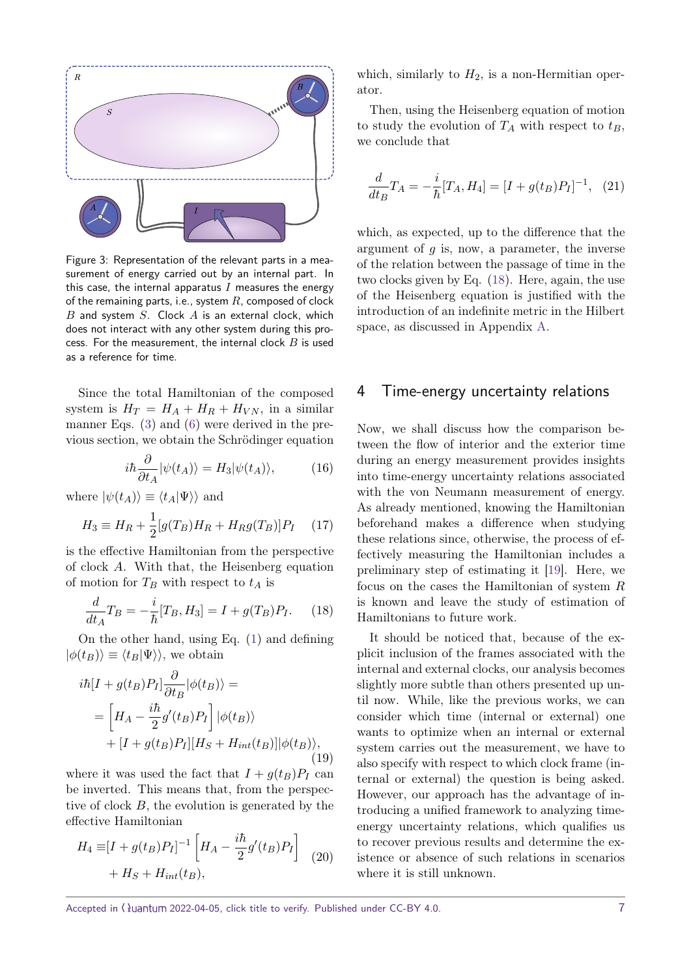<span id="page-6-1"></span>

Figure 3: Representation of the relevant parts in a measurement of energy carried out by an internal part. In this case, the internal apparatus  $I$  measures the energy of the remaining parts, i.e., system *R*, composed of clock *B* and system *S*. Clock *A* is an external clock, which does not interact with any other system during this process. For the measurement, the internal clock *B* is used as a reference for time.

Since the total Hamiltonian of the composed system is  $H_T = H_A + H_R + H_{VN}$ , in a similar manner Eqs. [\(3\)](#page-3-2) and [\(6\)](#page-3-4) were derived in the previous section, we obtain the Schrödinger equation

$$
i\hbar \frac{\partial}{\partial t_A} |\psi(t_A)\rangle = H_3 |\psi(t_A)\rangle, \tag{16}
$$

where  $|\psi(t_A)\rangle \equiv \langle t_A|\Psi\rangle$  and

$$
H_3 \equiv H_R + \frac{1}{2} [g(T_B)H_R + H_R g(T_B)]P_I \quad (17)
$$

is the effective Hamiltonian from the perspective of clock *A*. With that, the Heisenberg equation of motion for  $T_B$  with respect to  $t_A$  is

<span id="page-6-2"></span>
$$
\frac{d}{dt_A}T_B = -\frac{i}{\hbar}[T_B, H_3] = I + g(T_B)P_I.
$$
 (18)

On the other hand, using Eq. [\(1\)](#page-2-1) and defining  $|\phi(t_B)\rangle \equiv \langle t_B|\Psi\rangle$ , we obtain

$$
i\hbar[I + g(t_B)P_I] \frac{\partial}{\partial t_B} |\phi(t_B)\rangle =
$$
  
= 
$$
\left[ H_A - \frac{i\hbar}{2} g'(t_B)P_I \right] |\phi(t_B)\rangle
$$
  
+ 
$$
[I + g(t_B)P_I] [H_S + H_{int}(t_B)] |\phi(t_B)\rangle,
$$
(19)

where it was used the fact that  $I + g(t_B)P_I$  can be inverted. This means that, from the perspective of clock *B*, the evolution is generated by the effective Hamiltonian

$$
H_4 \equiv [I + g(t_B)P_I]^{-1} \left[ H_A - \frac{i\hbar}{2}g'(t_B)P_I \right]
$$
  
+ 
$$
H_S + H_{int}(t_B),
$$
 (20)

which, similarly to  $H_2$ , is a non-Hermitian operator.

Then, using the Heisenberg equation of motion to study the evolution of  $T_A$  with respect to  $t_B$ , we conclude that

<span id="page-6-3"></span>
$$
\frac{d}{dt_B}T_A = -\frac{i}{\hbar}[T_A, H_4] = [I + g(t_B)P_I]^{-1}, \quad (21)
$$

which, as expected, up to the difference that the argument of *g* is, now, a parameter, the inverse of the relation between the passage of time in the two clocks given by Eq. [\(18\)](#page-6-2). Here, again, the use of the Heisenberg equation is justified with the introduction of an indefinite metric in the Hilbert space, as discussed in Appendix [A.](#page-15-0)

#### <span id="page-6-0"></span>4 Time-energy uncertainty relations

Now, we shall discuss how the comparison between the flow of interior and the exterior time during an energy measurement provides insights into time-energy uncertainty relations associated with the von Neumann measurement of energy. As already mentioned, knowing the Hamiltonian beforehand makes a difference when studying these relations since, otherwise, the process of effectively measuring the Hamiltonian includes a preliminary step of estimating it [\[19\]](#page-12-4). Here, we focus on the cases the Hamiltonian of system *R* is known and leave the study of estimation of Hamiltonians to future work.

It should be noticed that, because of the explicit inclusion of the frames associated with the internal and external clocks, our analysis becomes slightly more subtle than others presented up until now. While, like the previous works, we can consider which time (internal or external) one wants to optimize when an internal or external system carries out the measurement, we have to also specify with respect to which clock frame (internal or external) the question is being asked. However, our approach has the advantage of introducing a unified framework to analyzing timeenergy uncertainty relations, which qualifies us to recover previous results and determine the existence or absence of such relations in scenarios where it is still unknown.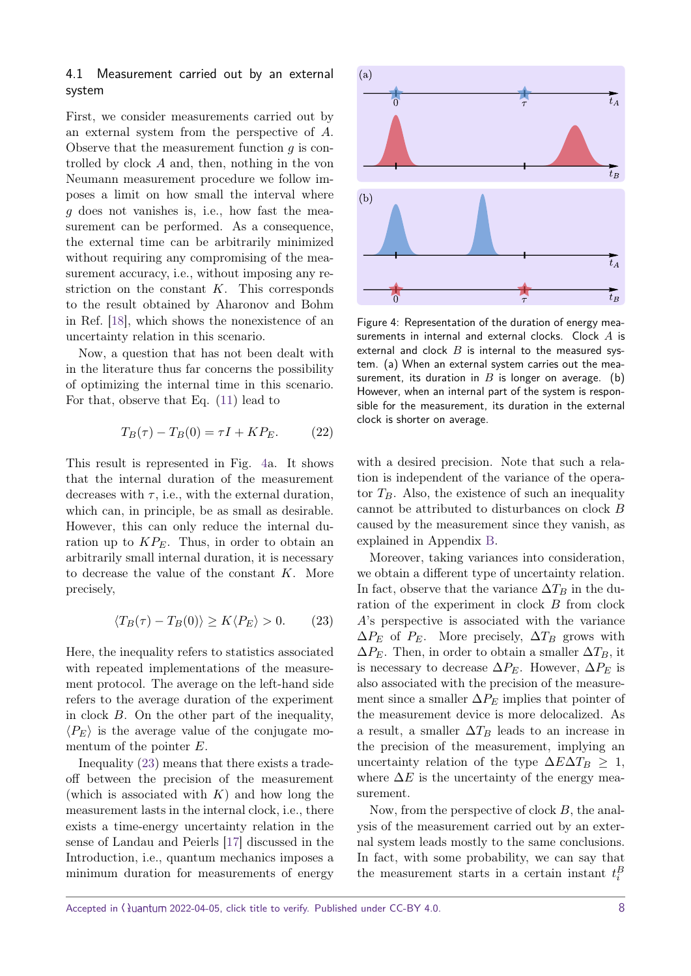#### 4.1 Measurement carried out by an external system

First, we consider measurements carried out by an external system from the perspective of *A*. Observe that the measurement function *g* is controlled by clock *A* and, then, nothing in the von Neumann measurement procedure we follow imposes a limit on how small the interval where *g* does not vanishes is, i.e., how fast the measurement can be performed. As a consequence, the external time can be arbitrarily minimized without requiring any compromising of the measurement accuracy, i.e., without imposing any restriction on the constant *K*. This corresponds to the result obtained by Aharonov and Bohm in Ref. [\[18\]](#page-12-3), which shows the nonexistence of an uncertainty relation in this scenario.

Now, a question that has not been dealt with in the literature thus far concerns the possibility of optimizing the internal time in this scenario. For that, observe that Eq. [\(11\)](#page-4-0) lead to

$$
T_B(\tau) - T_B(0) = \tau I + KP_E. \tag{22}
$$

This result is represented in Fig. [4a](#page-7-0). It shows that the internal duration of the measurement decreases with  $\tau$ , i.e., with the external duration, which can, in principle, be as small as desirable. However, this can only reduce the internal duration up to  $KP_E$ . Thus, in order to obtain an arbitrarily small internal duration, it is necessary to decrease the value of the constant *K*. More precisely,

<span id="page-7-1"></span>
$$
\langle T_B(\tau) - T_B(0) \rangle \ge K \langle P_E \rangle > 0. \tag{23}
$$

Here, the inequality refers to statistics associated with repeated implementations of the measurement protocol. The average on the left-hand side refers to the average duration of the experiment in clock *B*. On the other part of the inequality,  $\langle P_E \rangle$  is the average value of the conjugate momentum of the pointer *E*.

Inequality [\(23\)](#page-7-1) means that there exists a tradeoff between the precision of the measurement (which is associated with *K*) and how long the measurement lasts in the internal clock, i.e., there exists a time-energy uncertainty relation in the sense of Landau and Peierls [\[17\]](#page-12-2) discussed in the Introduction, i.e., quantum mechanics imposes a minimum duration for measurements of energy

<span id="page-7-0"></span>

Figure 4: Representation of the duration of energy measurements in internal and external clocks. Clock *A* is external and clock *B* is internal to the measured system. (a) When an external system carries out the measurement, its duration in  $B$  is longer on average. (b) However, when an internal part of the system is responsible for the measurement, its duration in the external clock is shorter on average.

with a desired precision. Note that such a relation is independent of the variance of the operator  $T_B$ . Also, the existence of such an inequality cannot be attributed to disturbances on clock *B* caused by the measurement since they vanish, as explained in Appendix [B.](#page-16-0)

Moreover, taking variances into consideration, we obtain a different type of uncertainty relation. In fact, observe that the variance  $\Delta T_B$  in the duration of the experiment in clock *B* from clock *A*'s perspective is associated with the variance  $\Delta P_E$  of  $P_E$ . More precisely,  $\Delta T_B$  grows with  $\Delta P_E$ . Then, in order to obtain a smaller  $\Delta T_B$ , it is necessary to decrease  $\Delta P_E$ . However,  $\Delta P_E$  is also associated with the precision of the measurement since a smaller  $\Delta P_E$  implies that pointer of the measurement device is more delocalized. As a result, a smaller  $\Delta T_B$  leads to an increase in the precision of the measurement, implying an uncertainty relation of the type  $\Delta E \Delta T_B \geq 1$ , where  $\Delta E$  is the uncertainty of the energy measurement.

Now, from the perspective of clock *B*, the analysis of the measurement carried out by an external system leads mostly to the same conclusions. In fact, with some probability, we can say that the measurement starts in a certain instant  $t_i^B$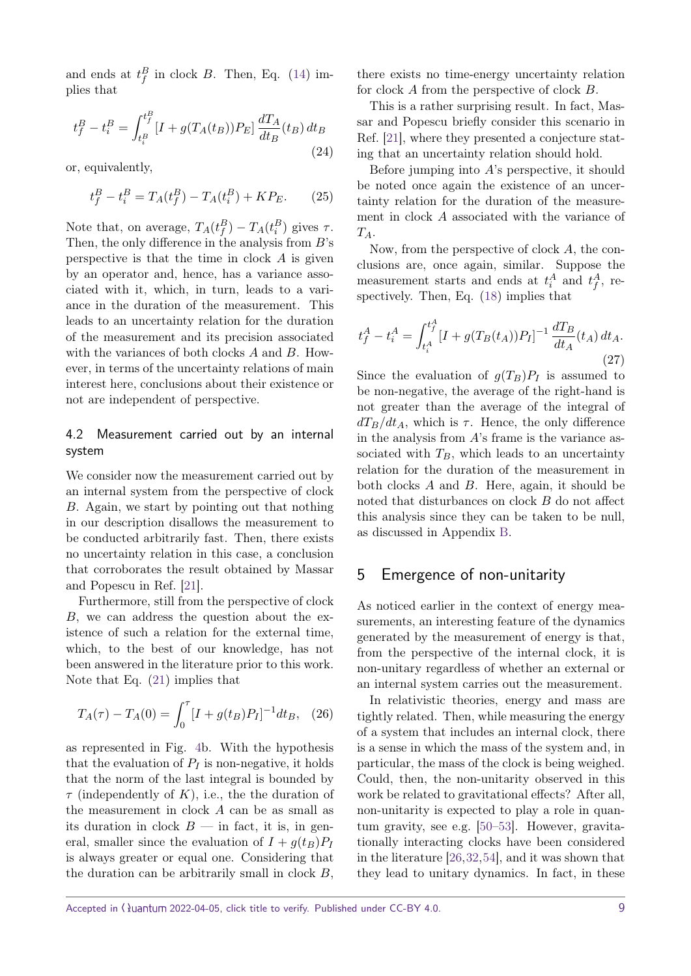and ends at  $t_f^B$  in clock *B*. Then, Eq. [\(14\)](#page-5-1) implies that

$$
t_f^B - t_i^B = \int_{t_i^B}^{t_f^B} [I + g(T_A(t_B))P_E] \frac{dT_A}{dt_B}(t_B) dt_B
$$
\n(24)

or, equivalently,

$$
t_f^B - t_i^B = T_A(t_f^B) - T_A(t_i^B) + K P_E.
$$
 (25)

Note that, on average,  $T_A(t_f^B) - T_A(t_i^B)$  gives  $\tau$ . Then, the only difference in the analysis from *B*'s perspective is that the time in clock *A* is given by an operator and, hence, has a variance associated with it, which, in turn, leads to a variance in the duration of the measurement. This leads to an uncertainty relation for the duration of the measurement and its precision associated with the variances of both clocks *A* and *B*. However, in terms of the uncertainty relations of main interest here, conclusions about their existence or not are independent of perspective.

#### 4.2 Measurement carried out by an internal system

We consider now the measurement carried out by an internal system from the perspective of clock *B*. Again, we start by pointing out that nothing in our description disallows the measurement to be conducted arbitrarily fast. Then, there exists no uncertainty relation in this case, a conclusion that corroborates the result obtained by Massar and Popescu in Ref. [\[21\]](#page-12-6).

Furthermore, still from the perspective of clock *B*, we can address the question about the existence of such a relation for the external time, which, to the best of our knowledge, has not been answered in the literature prior to this work. Note that Eq. [\(21\)](#page-6-3) implies that

$$
T_A(\tau) - T_A(0) = \int_0^{\tau} [I + g(t_B)P_I]^{-1} dt_B, \quad (26)
$$

as represented in Fig. [4b](#page-7-0). With the hypothesis that the evaluation of  $P_I$  is non-negative, it holds that the norm of the last integral is bounded by *τ* (independently of *K*), i.e., the the duration of the measurement in clock *A* can be as small as its duration in clock  $B$  — in fact, it is, in general, smaller since the evaluation of  $I + q(t_B)P_I$ is always greater or equal one. Considering that the duration can be arbitrarily small in clock *B*, there exists no time-energy uncertainty relation for clock *A* from the perspective of clock *B*.

This is a rather surprising result. In fact, Massar and Popescu briefly consider this scenario in Ref. [\[21\]](#page-12-6), where they presented a conjecture stating that an uncertainty relation should hold.

Before jumping into *A*'s perspective, it should be noted once again the existence of an uncertainty relation for the duration of the measurement in clock *A* associated with the variance of *TA*.

Now, from the perspective of clock *A*, the conclusions are, once again, similar. Suppose the measurement starts and ends at  $t_i^A$  and  $t_f^A$ , respectively. Then, Eq. [\(18\)](#page-6-2) implies that

$$
t_f^A - t_i^A = \int_{t_i^A}^{t_f^A} [I + g(T_B(t_A))P_I]^{-1} \frac{dT_B}{dt_A}(t_A) dt_A.
$$
\n(27)

Since the evaluation of  $g(T_B)P_I$  is assumed to be non-negative, the average of the right-hand is not greater than the average of the integral of  $dT_B/dt_A$ , which is  $\tau$ . Hence, the only difference in the analysis from *A*'s frame is the variance associated with  $T_B$ , which leads to an uncertainty relation for the duration of the measurement in both clocks *A* and *B*. Here, again, it should be noted that disturbances on clock *B* do not affect this analysis since they can be taken to be null, as discussed in Appendix [B.](#page-16-0)

# <span id="page-8-0"></span>5 Emergence of non-unitarity

As noticed earlier in the context of energy measurements, an interesting feature of the dynamics generated by the measurement of energy is that, from the perspective of the internal clock, it is non-unitary regardless of whether an external or an internal system carries out the measurement.

In relativistic theories, energy and mass are tightly related. Then, while measuring the energy of a system that includes an internal clock, there is a sense in which the mass of the system and, in particular, the mass of the clock is being weighed. Could, then, the non-unitarity observed in this work be related to gravitational effects? After all, non-unitarity is expected to play a role in quantum gravity, see e.g. [\[50–](#page-13-7)[53\]](#page-13-8). However, gravitationally interacting clocks have been considered in the literature [\[26,](#page-12-18)[32,](#page-12-16)[54\]](#page-13-9), and it was shown that they lead to unitary dynamics. In fact, in these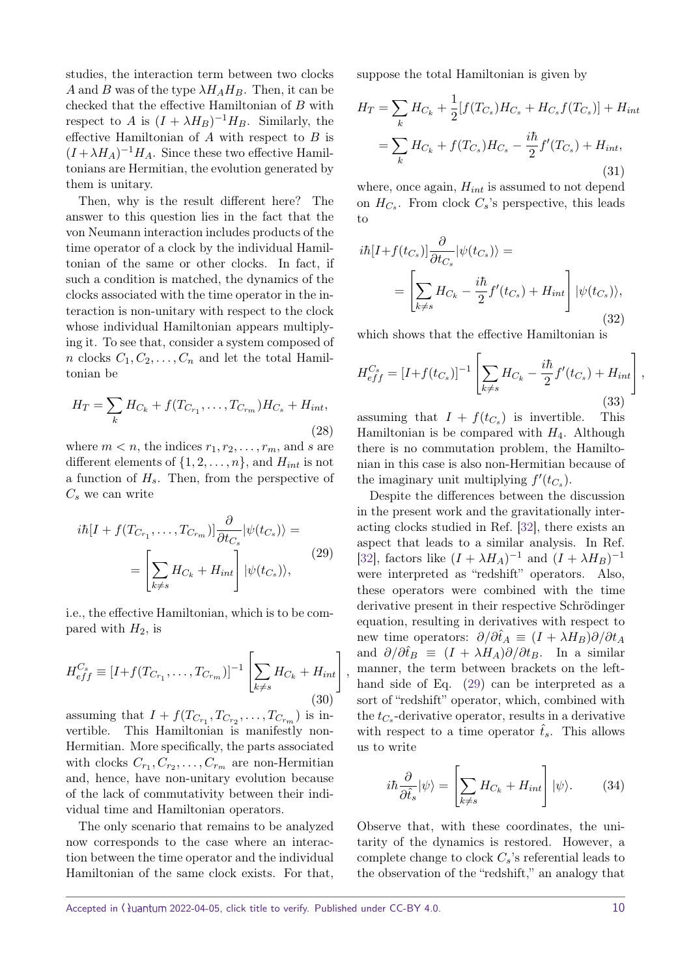studies, the interaction term between two clocks *A* and *B* was of the type  $\lambda H_A H_B$ . Then, it can be checked that the effective Hamiltonian of *B* with respect to *A* is  $(I + \lambda H_B)^{-1}H_B$ . Similarly, the effective Hamiltonian of *A* with respect to *B* is  $(I + \lambda H_A)^{-1}H_A$ . Since these two effective Hamiltonians are Hermitian, the evolution generated by them is unitary.

Then, why is the result different here? The answer to this question lies in the fact that the von Neumann interaction includes products of the time operator of a clock by the individual Hamiltonian of the same or other clocks. In fact, if such a condition is matched, the dynamics of the clocks associated with the time operator in the interaction is non-unitary with respect to the clock whose individual Hamiltonian appears multiplying it. To see that, consider a system composed of *n* clocks  $C_1, C_2, \ldots, C_n$  and let the total Hamiltonian be

$$
H_T = \sum_k H_{C_k} + f(T_{C_{r_1}}, \dots, T_{C_{r_m}})H_{C_s} + H_{int},
$$
\n(28)

where  $m < n$ , the indices  $r_1, r_2, \ldots, r_m$ , and *s* are different elements of  $\{1, 2, \ldots, n\}$ , and  $H_{int}$  is not a function of *Hs*. Then, from the perspective of *C<sup>s</sup>* we can write

<span id="page-9-0"></span>
$$
i\hbar[I + f(T_{C_{r_1}}, \dots, T_{C_{r_m}})] \frac{\partial}{\partial t_{C_s}} |\psi(t_{C_s})\rangle =
$$
  
= 
$$
\left[ \sum_{k \neq s} H_{C_k} + H_{int} \right] |\psi(t_{C_s})\rangle,
$$
 (29)

i.e., the effective Hamiltonian, which is to be compared with *H*2, is

$$
H_{eff}^{C_s} \equiv [I + f(T_{C_{r_1}}, \dots, T_{C_{r_m}})]^{-1} \left[ \sum_{k \neq s} H_{C_k} + H_{int} \right],
$$
\n(30)

assuming that  $I + f(T_{C_{r_1}}, T_{C_{r_2}}, \ldots, T_{C_{r_m}})$  is invertible. This Hamiltonian is manifestly non-Hermitian. More specifically, the parts associated with clocks  $C_{r_1}, C_{r_2}, \ldots, C_{r_m}$  are non-Hermitian and, hence, have non-unitary evolution because of the lack of commutativity between their individual time and Hamiltonian operators.

The only scenario that remains to be analyzed now corresponds to the case where an interaction between the time operator and the individual Hamiltonian of the same clock exists. For that, suppose the total Hamiltonian is given by

$$
H_T = \sum_k H_{C_k} + \frac{1}{2} [f(T_{C_s}) H_{C_s} + H_{C_s} f(T_{C_s})] + H_{int}
$$
  
= 
$$
\sum_k H_{C_k} + f(T_{C_s}) H_{C_s} - \frac{i\hbar}{2} f'(T_{C_s}) + H_{int},
$$
(31)

where, once again, *Hint* is assumed to not depend on  $H_{C_s}$ . From clock  $C_s$ 's perspective, this leads to

<span id="page-9-1"></span>
$$
i\hbar[I+f(t_{C_s})]\frac{\partial}{\partial t_{C_s}}|\psi(t_{C_s})\rangle =
$$
  
= 
$$
\left[\sum_{k\neq s}H_{C_k} - \frac{i\hbar}{2}f'(t_{C_s}) + H_{int}\right]|\psi(t_{C_s})\rangle,
$$
(32)

which shows that the effective Hamiltonian is

$$
H_{eff}^{C_s} = [I + f(t_{C_s})]^{-1} \left[ \sum_{k \neq s} H_{C_k} - \frac{i\hbar}{2} f'(t_{C_s}) + H_{int} \right],
$$
\n(33)

assuming that  $I + f(t_{C_s})$  is invertible. This Hamiltonian is be compared with *H*4. Although there is no commutation problem, the Hamiltonian in this case is also non-Hermitian because of the imaginary unit multiplying  $f'(t_{C_s})$ .

Despite the differences between the discussion in the present work and the gravitationally interacting clocks studied in Ref. [\[32\]](#page-12-16), there exists an aspect that leads to a similar analysis. In Ref. [\[32\]](#page-12-16), factors like  $(I + \lambda H_A)^{-1}$  and  $(I + \lambda H_B)^{-1}$ were interpreted as "redshift" operators. Also, these operators were combined with the time derivative present in their respective Schrödinger equation, resulting in derivatives with respect to new time operators:  $\partial/\partial \hat{t}_A \equiv (I + \lambda H_B)\partial/\partial t_A$ and  $\partial/\partial \hat{t}_B \equiv (I + \lambda H_A)\partial/\partial t_B$ . In a similar manner, the term between brackets on the lefthand side of Eq. [\(29\)](#page-9-0) can be interpreted as a sort of "redshift" operator, which, combined with the  $t_{C_s}$ -derivative operator, results in a derivative with respect to a time operator  $\hat{t}_s$ . This allows us to write

$$
i\hbar \frac{\partial}{\partial \hat{t}_s} |\psi\rangle = \left[ \sum_{k \neq s} H_{C_k} + H_{int} \right] |\psi\rangle. \tag{34}
$$

Observe that, with these coordinates, the unitarity of the dynamics is restored. However, a complete change to clock  $C_s$ 's referential leads to the observation of the "redshift," an analogy that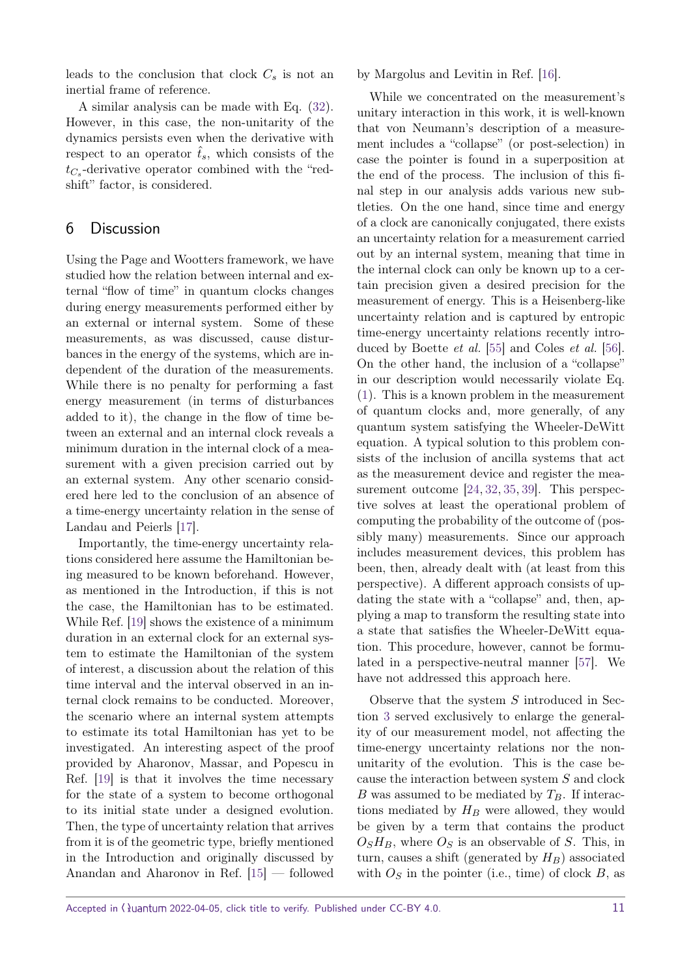leads to the conclusion that clock  $C_s$  is not an inertial frame of reference.

A similar analysis can be made with Eq. [\(32\)](#page-9-1). However, in this case, the non-unitarity of the dynamics persists even when the derivative with respect to an operator  $\hat{t}_s$ , which consists of the *tC<sup>s</sup>* -derivative operator combined with the "redshift" factor, is considered.

# <span id="page-10-0"></span>6 Discussion

Using the Page and Wootters framework, we have studied how the relation between internal and external "flow of time" in quantum clocks changes during energy measurements performed either by an external or internal system. Some of these measurements, as was discussed, cause disturbances in the energy of the systems, which are independent of the duration of the measurements. While there is no penalty for performing a fast energy measurement (in terms of disturbances added to it), the change in the flow of time between an external and an internal clock reveals a minimum duration in the internal clock of a measurement with a given precision carried out by an external system. Any other scenario considered here led to the conclusion of an absence of a time-energy uncertainty relation in the sense of Landau and Peierls [\[17\]](#page-12-2).

Importantly, the time-energy uncertainty relations considered here assume the Hamiltonian being measured to be known beforehand. However, as mentioned in the Introduction, if this is not the case, the Hamiltonian has to be estimated. While Ref. [\[19\]](#page-12-4) shows the existence of a minimum duration in an external clock for an external system to estimate the Hamiltonian of the system of interest, a discussion about the relation of this time interval and the interval observed in an internal clock remains to be conducted. Moreover, the scenario where an internal system attempts to estimate its total Hamiltonian has yet to be investigated. An interesting aspect of the proof provided by Aharonov, Massar, and Popescu in Ref. [\[19\]](#page-12-4) is that it involves the time necessary for the state of a system to become orthogonal to its initial state under a designed evolution. Then, the type of uncertainty relation that arrives from it is of the geometric type, briefly mentioned in the Introduction and originally discussed by Anandan and Aharonov in Ref. [\[15\]](#page-12-0) — followed by Margolus and Levitin in Ref. [\[16\]](#page-12-1).

While we concentrated on the measurement's unitary interaction in this work, it is well-known that von Neumann's description of a measurement includes a "collapse" (or post-selection) in case the pointer is found in a superposition at the end of the process. The inclusion of this final step in our analysis adds various new subtleties. On the one hand, since time and energy of a clock are canonically conjugated, there exists an uncertainty relation for a measurement carried out by an internal system, meaning that time in the internal clock can only be known up to a certain precision given a desired precision for the measurement of energy. This is a Heisenberg-like uncertainty relation and is captured by entropic time-energy uncertainty relations recently intro-duced by Boette et al. [\[55\]](#page-13-10) and Coles et al. [\[56\]](#page-13-11). On the other hand, the inclusion of a "collapse" in our description would necessarily violate Eq. [\(1\)](#page-2-1). This is a known problem in the measurement of quantum clocks and, more generally, of any quantum system satisfying the Wheeler-DeWitt equation. A typical solution to this problem consists of the inclusion of ancilla systems that act as the measurement device and register the measurement outcome [\[24,](#page-12-17) [32,](#page-12-16) [35,](#page-12-19) [39\]](#page-12-11). This perspective solves at least the operational problem of computing the probability of the outcome of (possibly many) measurements. Since our approach includes measurement devices, this problem has been, then, already dealt with (at least from this perspective). A different approach consists of updating the state with a "collapse" and, then, applying a map to transform the resulting state into a state that satisfies the Wheeler-DeWitt equation. This procedure, however, cannot be formulated in a perspective-neutral manner [\[57\]](#page-13-12). We have not addressed this approach here.

Observe that the system *S* introduced in Section [3](#page-3-0) served exclusively to enlarge the generality of our measurement model, not affecting the time-energy uncertainty relations nor the nonunitarity of the evolution. This is the case because the interaction between system *S* and clock *B* was assumed to be mediated by  $T_B$ . If interactions mediated by *H<sup>B</sup>* were allowed, they would be given by a term that contains the product  $O<sub>S</sub>H<sub>B</sub>$ , where  $O<sub>S</sub>$  is an observable of *S*. This, in turn, causes a shift (generated by *HB*) associated with  $O_S$  in the pointer (i.e., time) of clock  $B$ , as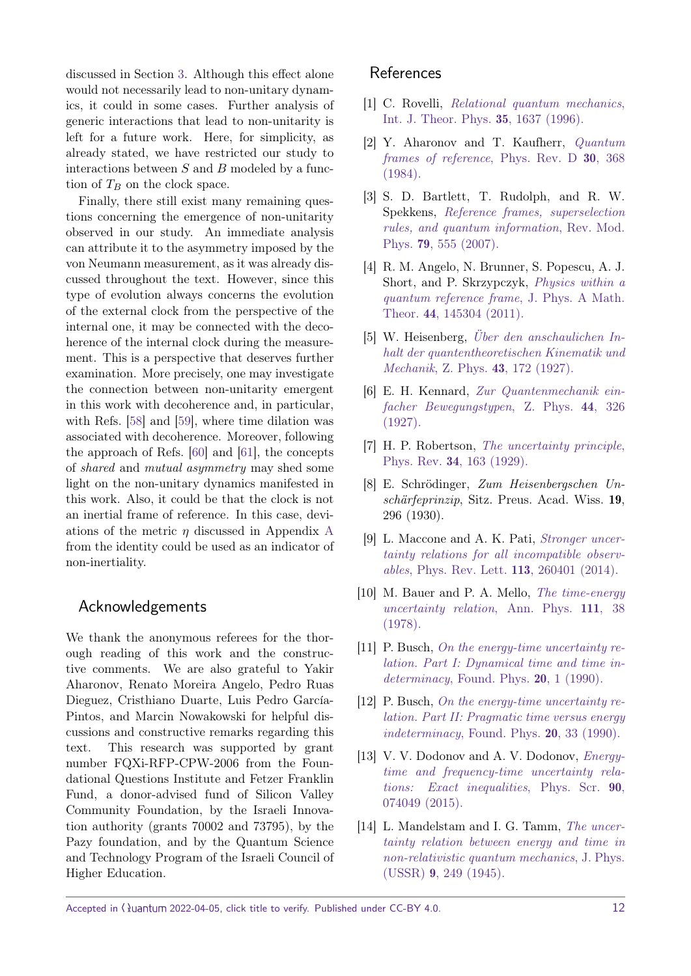discussed in Section [3.](#page-3-0) Although this effect alone would not necessarily lead to non-unitary dynamics, it could in some cases. Further analysis of generic interactions that lead to non-unitarity is left for a future work. Here, for simplicity, as already stated, we have restricted our study to interactions between *S* and *B* modeled by a function of  $T_B$  on the clock space.

Finally, there still exist many remaining questions concerning the emergence of non-unitarity observed in our study. An immediate analysis can attribute it to the asymmetry imposed by the von Neumann measurement, as it was already discussed throughout the text. However, since this type of evolution always concerns the evolution of the external clock from the perspective of the internal one, it may be connected with the decoherence of the internal clock during the measurement. This is a perspective that deserves further examination. More precisely, one may investigate the connection between non-unitarity emergent in this work with decoherence and, in particular, with Refs. [\[58\]](#page-13-13) and [\[59\]](#page-13-14), where time dilation was associated with decoherence. Moreover, following the approach of Refs. [\[60\]](#page-13-15) and [\[61\]](#page-13-16), the concepts of shared and mutual asymmetry may shed some light on the non-unitary dynamics manifested in this work. Also, it could be that the clock is not an inertial frame of reference. In this case, deviations of the metric *η* discussed in Appendix [A](#page-15-0) from the identity could be used as an indicator of non-inertiality.

## Acknowledgements

We thank the anonymous referees for the thorough reading of this work and the constructive comments. We are also grateful to Yakir Aharonov, Renato Moreira Angelo, Pedro Ruas Dieguez, Cristhiano Duarte, Luis Pedro García-Pintos, and Marcin Nowakowski for helpful discussions and constructive remarks regarding this text. This research was supported by grant number FQXi-RFP-CPW-2006 from the Foundational Questions Institute and Fetzer Franklin Fund, a donor-advised fund of Silicon Valley Community Foundation, by the Israeli Innovation authority (grants 70002 and 73795), by the Pazy foundation, and by the Quantum Science and Technology Program of the Israeli Council of Higher Education.

## References

- <span id="page-11-0"></span>[1] C. Rovelli, [Relational quantum mechanics](https://doi.org/10.1007/BF02302261), [Int. J. Theor. Phys.](https://doi.org/10.1007/BF02302261) 35, 1637 (1996).
- <span id="page-11-1"></span>[2] Y. Aharonov and T. Kaufherr, [Quantum](https://doi.org/10.1103/PhysRevD.30.368) [frames of reference](https://doi.org/10.1103/PhysRevD.30.368), Phys. Rev. D 30, 368 [\(1984\).](https://doi.org/10.1103/PhysRevD.30.368)
- [3] S. D. Bartlett, T. Rudolph, and R. W. Spekkens, [Reference frames, superselection](https://doi.org/10.1103/RevModPhys.79.555) [rules, and quantum information](https://doi.org/10.1103/RevModPhys.79.555), Rev. Mod. Phys. 79[, 555 \(2007\).](https://doi.org/10.1103/RevModPhys.79.555)
- <span id="page-11-2"></span>[4] R. M. Angelo, N. Brunner, S. Popescu, A. J. Short, and P. Skrzypczyk, [Physics within a](https://doi.org/10.1088/1751-8113/44/14/145304) [quantum reference frame](https://doi.org/10.1088/1751-8113/44/14/145304), J. Phys. A Math. Theor. 44[, 145304 \(2011\).](https://doi.org/10.1088/1751-8113/44/14/145304)
- <span id="page-11-3"></span>[5] W. Heisenberg, [Über den anschaulichen In](https://doi.org/10.1007/BF01397280)[halt der quantentheoretischen Kinematik und](https://doi.org/10.1007/BF01397280) Mechanik, Z. Phys. 43[, 172 \(1927\).](https://doi.org/10.1007/BF01397280)
- [6] E. H. Kennard, [Zur Quantenmechanik ein](https://doi.org/10.1007/BF01391200)[facher Bewegungstypen](https://doi.org/10.1007/BF01391200), Z. Phys. 44, 326 [\(1927\).](https://doi.org/10.1007/BF01391200)
- [7] H. P. Robertson, [The uncertainty principle](https://doi.org/10.1103/PhysRev.34.163), Phys. Rev. 34[, 163 \(1929\).](https://doi.org/10.1103/PhysRev.34.163)
- [8] E. Schrödinger, Zum Heisenbergschen Unschärfeprinzip, Sitz. Preus. Acad. Wiss. 19, 296 (1930).
- <span id="page-11-4"></span>[9] L. Maccone and A. K. Pati, [Stronger uncer](https://doi.org/10.1103/PhysRevLett.113.260401)[tainty relations for all incompatible observ](https://doi.org/10.1103/PhysRevLett.113.260401)ables[, Phys. Rev. Lett.](https://doi.org/10.1103/PhysRevLett.113.260401) 113, 260401 (2014).
- <span id="page-11-5"></span>[10] M. Bauer and P. A. Mello, *[The time-energy](https://doi.org/10.1016/0003-4916(78)90223-3)* [uncertainty relation](https://doi.org/10.1016/0003-4916(78)90223-3), Ann. Phys. 111, 38 [\(1978\).](https://doi.org/10.1016/0003-4916(78)90223-3)
- [11] P. Busch, [On the energy-time uncertainty re](https://doi.org/10.1007/BF00732932)[lation. Part I: Dynamical time and time in-](https://doi.org/10.1007/BF00732932)determinacy[, Found. Phys.](https://doi.org/10.1007/BF00732932)  $20, 1$  (1990).
- [12] P. Busch, [On the energy-time uncertainty re](https://doi.org/10.1007/BF00732933)[lation. Part II: Pragmatic time versus energy](https://doi.org/10.1007/BF00732933) indeterminacy[, Found. Phys.](https://doi.org/10.1007/BF00732933) 20, 33 (1990).
- <span id="page-11-6"></span>[13] V. V. Dodonov and A. V. Dodonov, *Energy*[time and frequency-time uncertainty rela](https://doi.org/10.1088/0031-8949/90/7/074049)[tions: Exact inequalities](https://doi.org/10.1088/0031-8949/90/7/074049), Phys. Scr. 90, [074049 \(2015\).](https://doi.org/10.1088/0031-8949/90/7/074049)
- <span id="page-11-7"></span>[14] L. Mandelstam and I. G. Tamm, [The uncer](https://doi.org/10.1007/978-3-642-74626-0_8)[tainty relation between energy and time in](https://doi.org/10.1007/978-3-642-74626-0_8) [non-relativistic quantum mechanics](https://doi.org/10.1007/978-3-642-74626-0_8), J. Phys. (USSR) 9[, 249 \(1945\).](https://doi.org/10.1007/978-3-642-74626-0_8)

Accepted in  $\lambda$ uantum 2022-04-05, click title to verify. Published under CC-BY 4.0. 12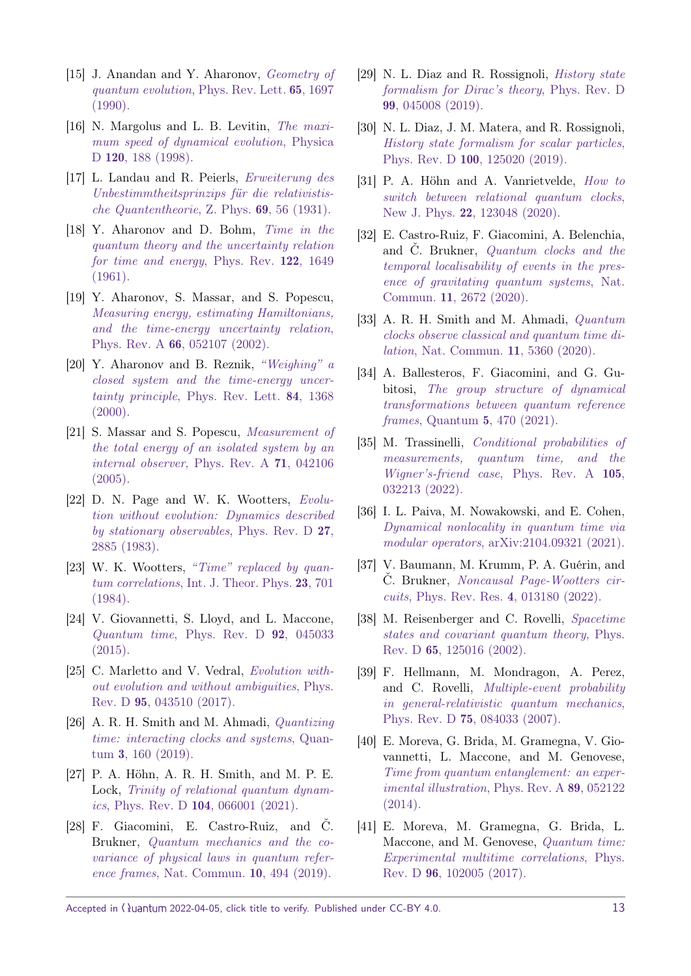- <span id="page-12-0"></span>[15] J. Anandan and Y. Aharonov, [Geometry of](https://doi.org/10.1103/PhysRevLett.65.1697) [quantum evolution](https://doi.org/10.1103/PhysRevLett.65.1697), Phys. Rev. Lett. 65, 1697 [\(1990\).](https://doi.org/10.1103/PhysRevLett.65.1697)
- <span id="page-12-1"></span>[16] N. Margolus and L. B. Levitin, [The maxi](https://doi.org/10.1016/S0167-2789(98)00054-2)[mum speed of dynamical evolution](https://doi.org/10.1016/S0167-2789(98)00054-2), Physica D 120[, 188 \(1998\).](https://doi.org/10.1016/S0167-2789(98)00054-2)
- <span id="page-12-2"></span>[17] L. Landau and R. Peierls, [Erweiterung des](https://doi.org/10.1007/BF01391513) [Unbestimmtheitsprinzips für die relativistis](https://doi.org/10.1007/BF01391513)[che Quantentheorie](https://doi.org/10.1007/BF01391513), Z. Phys. 69, 56 (1931).
- <span id="page-12-3"></span>[18] Y. Aharonov and D. Bohm, [Time in the](https://doi.org/10.1103/PhysRev.122.1649) [quantum theory and the uncertainty relation](https://doi.org/10.1103/PhysRev.122.1649) [for time and energy](https://doi.org/10.1103/PhysRev.122.1649), Phys. Rev. 122, 1649 [\(1961\).](https://doi.org/10.1103/PhysRev.122.1649)
- <span id="page-12-4"></span>[19] Y. Aharonov, S. Massar, and S. Popescu, [Measuring energy, estimating Hamiltonians,](https://doi.org/10.1103/PhysRevA.66.052107) [and the time-energy uncertainty relation](https://doi.org/10.1103/PhysRevA.66.052107), Phys. Rev. A 66[, 052107 \(2002\).](https://doi.org/10.1103/PhysRevA.66.052107)
- <span id="page-12-5"></span>[20] Y. Aharonov and B. Reznik, ["Weighing" a](https://doi.org/10.1103/PhysRevLett.84.1368) [closed system and the time-energy uncer](https://doi.org/10.1103/PhysRevLett.84.1368)tainty principle[, Phys. Rev. Lett.](https://doi.org/10.1103/PhysRevLett.84.1368) 84, 1368  $(2000).$
- <span id="page-12-6"></span>[21] S. Massar and S. Popescu, [Measurement of](https://doi.org/10.1103/PhysRevA.71.042106) [the total energy of an isolated system by an](https://doi.org/10.1103/PhysRevA.71.042106) [internal observer](https://doi.org/10.1103/PhysRevA.71.042106), Phys. Rev. A 71, 042106 [\(2005\).](https://doi.org/10.1103/PhysRevA.71.042106)
- <span id="page-12-7"></span>[22] D. N. Page and W. K. Wootters, [Evolu](https://doi.org/10.1103/PhysRevD.27.2885)[tion without evolution: Dynamics described](https://doi.org/10.1103/PhysRevD.27.2885) [by stationary observables](https://doi.org/10.1103/PhysRevD.27.2885), Phys. Rev. D 27, [2885 \(1983\).](https://doi.org/10.1103/PhysRevD.27.2885)
- <span id="page-12-8"></span>[23] W. K. Wootters, ["Time" replaced by quan](https://doi.org/10.1007/BF02214098)tum correlations[, Int. J. Theor. Phys.](https://doi.org/10.1007/BF02214098) 23, 701 [\(1984\).](https://doi.org/10.1007/BF02214098)
- <span id="page-12-17"></span>[24] V. Giovannetti, S. Lloyd, and L. Maccone, Quantum time[, Phys. Rev. D](https://doi.org/10.1103/PhysRevD.92.045033)  $92$ , 045033 [\(2015\).](https://doi.org/10.1103/PhysRevD.92.045033)
- [25] C. Marletto and V. Vedral, *Evolution with*[out evolution and without ambiguities](https://doi.org/10.1103/PhysRevD.95.043510), Phys. Rev. D 95[, 043510 \(2017\).](https://doi.org/10.1103/PhysRevD.95.043510)
- <span id="page-12-18"></span>[26] A. R. H. Smith and M. Ahmadi, [Quantizing](https://doi.org/10.22331/q-2019-07-08-160) [time: interacting clocks and systems](https://doi.org/10.22331/q-2019-07-08-160), Quantum 3[, 160 \(2019\).](https://doi.org/10.22331/q-2019-07-08-160)
- <span id="page-12-14"></span>[27] P. A. Höhn, A. R. H. Smith, and M. P. E. Lock, [Trinity of relational quantum dynam](https://doi.org/10.1103/PhysRevD.104.066001)ics, Phys. Rev. D  $104$ [, 066001 \(2021\).](https://doi.org/10.1103/PhysRevD.104.066001)
- [28] F. Giacomini, E. Castro-Ruiz, and Č. Brukner, [Quantum mechanics and the co](https://doi.org/10.1038/s41467-018-08155-0)[variance of physical laws in quantum refer](https://doi.org/10.1038/s41467-018-08155-0)ence frames[, Nat. Commun.](https://doi.org/10.1038/s41467-018-08155-0) 10, 494 (2019).
- [29] N. L. Diaz and R. Rossignoli, [History state](https://doi.org/10.1103/PhysRevD.99.045008) [formalism for Dirac's theory](https://doi.org/10.1103/PhysRevD.99.045008), Phys. Rev. D 99[, 045008 \(2019\).](https://doi.org/10.1103/PhysRevD.99.045008)
- [30] N. L. Diaz, J. M. Matera, and R. Rossignoli, [History state formalism for scalar particles](https://doi.org/10.1103/PhysRevD.100.125020), Phys. Rev. D 100[, 125020 \(2019\).](https://doi.org/10.1103/PhysRevD.100.125020)
- <span id="page-12-15"></span>[31] P. A. Höhn and A. Vanrietvelde, [How to](https://doi.org/10.1088/1367-2630/abd1ac) [switch between relational quantum clocks](https://doi.org/10.1088/1367-2630/abd1ac), New J. Phys. 22[, 123048 \(2020\).](https://doi.org/10.1088/1367-2630/abd1ac)
- <span id="page-12-16"></span>[32] E. Castro-Ruiz, F. Giacomini, A. Belenchia, and Č. Brukner, [Quantum clocks and the](https://doi.org/10.1038/s41467-020-16013-1) [temporal localisability of events in the pres](https://doi.org/10.1038/s41467-020-16013-1)[ence of gravitating quantum systems](https://doi.org/10.1038/s41467-020-16013-1), Nat. Commun. 11[, 2672 \(2020\).](https://doi.org/10.1038/s41467-020-16013-1)
- [33] A. R. H. Smith and M. Ahmadi, [Quantum](https://doi.org/10.1038/s41467-020-18264-4) [clocks observe classical and quantum time di](https://doi.org/10.1038/s41467-020-18264-4)lation[, Nat. Commun.](https://doi.org/10.1038/s41467-020-18264-4) 11, 5360 (2020).
- [34] A. Ballesteros, F. Giacomini, and G. Gubitosi, [The group structure of dynamical](https://doi.org/10.22331/q-2021-06-08-470) [transformations between quantum reference](https://doi.org/10.22331/q-2021-06-08-470) frames, Quantum 5[, 470 \(2021\).](https://doi.org/10.22331/q-2021-06-08-470)
- <span id="page-12-19"></span>[35] M. Trassinelli, [Conditional probabilities of](https://doi.org/10.1103/PhysRevA.105.032213) [measurements, quantum time, and the](https://doi.org/10.1103/PhysRevA.105.032213) [Wigner's-friend case](https://doi.org/10.1103/PhysRevA.105.032213), Phys. Rev. A 105, [032213 \(2022\).](https://doi.org/10.1103/PhysRevA.105.032213)
- [36] I. L. Paiva, M. Nowakowski, and E. Cohen, [Dynamical nonlocality in quantum time via](https://doi.org/10.48550/arXiv.2104.09321) [modular operators](https://doi.org/10.48550/arXiv.2104.09321), [arXiv:2104.09321](http://arxiv.org/abs/2104.09321) (2021).
- <span id="page-12-9"></span>[37] V. Baumann, M. Krumm, P. A. Guérin, and Č. Brukner, [Noncausal Page-Wootters cir](https://doi.org/10.1103/PhysRevResearch.4.013180)cuits[, Phys. Rev. Res.](https://doi.org/10.1103/PhysRevResearch.4.013180) 4, 013180 (2022).
- <span id="page-12-10"></span>[38] M. Reisenberger and C. Rovelli, [Spacetime](https://doi.org/10.1103/PhysRevD.65.125016) [states and covariant quantum theory](https://doi.org/10.1103/PhysRevD.65.125016), Phys. Rev. D 65[, 125016 \(2002\).](https://doi.org/10.1103/PhysRevD.65.125016)
- <span id="page-12-11"></span>[39] F. Hellmann, M. Mondragon, A. Perez, and C. Rovelli, [Multiple-event probability](https://doi.org/10.1103/PhysRevD.75.084033) [in general-relativistic quantum mechanics](https://doi.org/10.1103/PhysRevD.75.084033), Phys. Rev. D 75[, 084033 \(2007\).](https://doi.org/10.1103/PhysRevD.75.084033)
- <span id="page-12-12"></span>[40] E. Moreva, G. Brida, M. Gramegna, V. Giovannetti, L. Maccone, and M. Genovese, [Time from quantum entanglement: an exper](https://doi.org/10.1103/PhysRevA.89.052122)[imental illustration](https://doi.org/10.1103/PhysRevA.89.052122), Phys. Rev. A 89, 052122 [\(2014\).](https://doi.org/10.1103/PhysRevA.89.052122)
- <span id="page-12-13"></span>[41] E. Moreva, M. Gramegna, G. Brida, L. Maccone, and M. Genovese, [Quantum time:](https://doi.org/10.1103/PhysRevD.96.102005) [Experimental multitime correlations](https://doi.org/10.1103/PhysRevD.96.102005), Phys. Rev. D 96[, 102005 \(2017\).](https://doi.org/10.1103/PhysRevD.96.102005)

Accepted in  $\lambda$ uantum 2022-04-05, click title to verify. Published under CC-BY 4.0. 13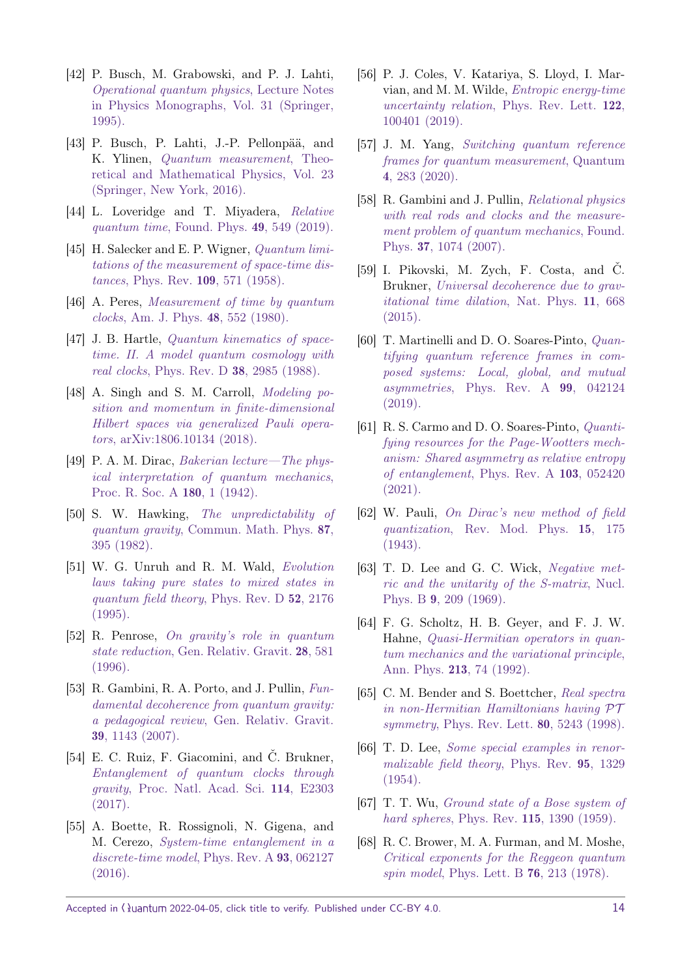- <span id="page-13-0"></span>[42] P. Busch, M. Grabowski, and P. J. Lahti, [Operational quantum physics](https://doi.org/10.1007/978-3-540-49239-9), Lecture Notes [in Physics Monographs, Vol. 31 \(Springer,](https://doi.org/10.1007/978-3-540-49239-9) [1995\).](https://doi.org/10.1007/978-3-540-49239-9)
- [43] P. Busch, P. Lahti, J.-P. Pellonpää, and K. Ylinen, [Quantum measurement](https://doi.org/10.1007/978-3-319-43389-9), Theo[retical and Mathematical Physics, Vol. 23](https://doi.org/10.1007/978-3-319-43389-9) [\(Springer, New York, 2016\).](https://doi.org/10.1007/978-3-319-43389-9)
- <span id="page-13-1"></span>[44] L. Loveridge and T. Mivadera, [Relative](https://doi.org/10.1007/s10701-019-00268-w) quantum time[, Found. Phys.](https://doi.org/10.1007/s10701-019-00268-w) **49**, 549 (2019).
- <span id="page-13-2"></span>[45] H. Salecker and E. P. Wigner, *Quantum limi*[tations of the measurement of space-time dis](https://doi.org/10.1103/PhysRev.109.571)tances, Phys. Rev. 109[, 571 \(1958\).](https://doi.org/10.1103/PhysRev.109.571)
- <span id="page-13-3"></span>[46] A. Peres, [Measurement of time by quantum](https://doi.org/10.1119/1.12061) clocks[, Am. J. Phys.](https://doi.org/10.1119/1.12061) 48, 552 (1980).
- <span id="page-13-4"></span>[47] J. B. Hartle, *[Quantum kinematics of space](https://doi.org/10.1103/PhysRevD.38.2985)*[time. II. A model quantum cosmology with](https://doi.org/10.1103/PhysRevD.38.2985) real clocks[, Phys. Rev. D](https://doi.org/10.1103/PhysRevD.38.2985) 38, 2985 (1988).
- <span id="page-13-5"></span>[48] A. Singh and S. M. Carroll, *[Modeling po](https://doi.org/10.48550/arXiv.1806.10134)*[sition and momentum in finite-dimensional](https://doi.org/10.48550/arXiv.1806.10134) [Hilbert spaces via generalized Pauli opera](https://doi.org/10.48550/arXiv.1806.10134)tors, [arXiv:1806.10134](https://doi.org/10.48550/arXiv.1806.10134) (2018).
- <span id="page-13-6"></span>[49] P. A. M. Dirac, [Bakerian lecture—The phys](https://doi.org/10.1098/rspa.1942.0023)[ical interpretation of quantum mechanics](https://doi.org/10.1098/rspa.1942.0023), [Proc. R. Soc. A](https://doi.org/10.1098/rspa.1942.0023) 180, 1 (1942).
- <span id="page-13-7"></span>[50] S. W. Hawking, [The unpredictability of](https://doi.org/10.1007/BF01206031) quantum gravity[, Commun. Math. Phys.](https://doi.org/10.1007/BF01206031) 87, [395 \(1982\).](https://doi.org/10.1007/BF01206031)
- [51] W. G. Unruh and R. M. Wald, [Evolution](https://doi.org/10.1103/PhysRevD.52.2176) [laws taking pure states to mixed states in](https://doi.org/10.1103/PhysRevD.52.2176) [quantum field theory](https://doi.org/10.1103/PhysRevD.52.2176), Phys. Rev. D 52, 2176 [\(1995\).](https://doi.org/10.1103/PhysRevD.52.2176)
- [52] R. Penrose, [On gravity's role in quantum](https://doi.org/10.1007/BF02105068) state reduction[, Gen. Relativ. Gravit.](https://doi.org/10.1007/BF02105068) 28, 581 [\(1996\).](https://doi.org/10.1007/BF02105068)
- <span id="page-13-8"></span>[53] R. Gambini, R. A. Porto, and J. Pullin, [Fun](https://doi.org/10.1007/s10714-007-0451-1)[damental decoherence from quantum gravity:](https://doi.org/10.1007/s10714-007-0451-1) a pedagogical review[, Gen. Relativ. Gravit.](https://doi.org/10.1007/s10714-007-0451-1) 39[, 1143 \(2007\).](https://doi.org/10.1007/s10714-007-0451-1)
- <span id="page-13-9"></span>[54] E. C. Ruiz, F. Giacomini, and Č. Brukner, [Entanglement of quantum clocks through](https://doi.org/10.1073/pnas.1616427114) gravity[, Proc. Natl. Acad. Sci.](https://doi.org/10.1073/pnas.1616427114) 114, E2303 [\(2017\).](https://doi.org/10.1073/pnas.1616427114)
- <span id="page-13-10"></span>[55] A. Boette, R. Rossignoli, N. Gigena, and M. Cerezo, [System-time entanglement in a](https://doi.org/10.1103/PhysRevA.93.062127) [discrete-time model](https://doi.org/10.1103/PhysRevA.93.062127), Phys. Rev. A 93, 062127 [\(2016\).](https://doi.org/10.1103/PhysRevA.93.062127)
- <span id="page-13-11"></span>[56] P. J. Coles, V. Katariya, S. Lloyd, I. Marvian, and M. M. Wilde, [Entropic energy-time](https://doi.org/10.1103/PhysRevLett.122.100401) [uncertainty relation](https://doi.org/10.1103/PhysRevLett.122.100401), Phys. Rev. Lett. 122, [100401 \(2019\).](https://doi.org/10.1103/PhysRevLett.122.100401)
- <span id="page-13-12"></span>[57] J. M. Yang, [Switching quantum reference](https://doi.org/10.22331/q-2020-06-18-283) [frames for quantum measurement](https://doi.org/10.22331/q-2020-06-18-283), Quantum 4[, 283 \(2020\).](https://doi.org/10.22331/q-2020-06-18-283)
- <span id="page-13-13"></span>[58] R. Gambini and J. Pullin, [Relational physics](https://doi.org/10.1007/s10701-007-9144-6) [with real rods and clocks and the measure](https://doi.org/10.1007/s10701-007-9144-6)[ment problem of quantum mechanics](https://doi.org/10.1007/s10701-007-9144-6), Found. Phys. 37[, 1074 \(2007\).](https://doi.org/10.1007/s10701-007-9144-6)
- <span id="page-13-14"></span>[59] I. Pikovski, M. Zych, F. Costa, and Č. Brukner, [Universal decoherence due to grav](https://doi.org/10.1038/nphys3366)[itational time dilation](https://doi.org/10.1038/nphys3366), Nat. Phys. 11, 668 [\(2015\).](https://doi.org/10.1038/nphys3366)
- <span id="page-13-15"></span>[60] T. Martinelli and D. O. Soares-Pinto, [Quan](https://doi.org/10.1103/PhysRevA.99.042124)[tifying quantum reference frames in com](https://doi.org/10.1103/PhysRevA.99.042124)[posed systems: Local, global, and mutual](https://doi.org/10.1103/PhysRevA.99.042124) asymmetries[, Phys. Rev. A](https://doi.org/10.1103/PhysRevA.99.042124) 99, 042124 [\(2019\).](https://doi.org/10.1103/PhysRevA.99.042124)
- <span id="page-13-16"></span>[61] R. S. Carmo and D. O. Soares-Pinto, [Quanti](https://doi.org/10.1103/PhysRevA.103.052420)[fying resources for the Page-Wootters mech](https://doi.org/10.1103/PhysRevA.103.052420)[anism: Shared asymmetry as relative entropy](https://doi.org/10.1103/PhysRevA.103.052420) [of entanglement](https://doi.org/10.1103/PhysRevA.103.052420), Phys. Rev. A 103, 052420 [\(2021\).](https://doi.org/10.1103/PhysRevA.103.052420)
- <span id="page-13-17"></span>[62] W. Pauli, [On Dirac's new method of field](https://doi.org/10.1103/RevModPhys.15.175) quantization[, Rev. Mod. Phys.](https://doi.org/10.1103/RevModPhys.15.175) 15, 175 [\(1943\).](https://doi.org/10.1103/RevModPhys.15.175)
- [63] T. D. Lee and G. C. Wick, [Negative met](https://doi.org/10.1016/0550-3213(69)90098-4)[ric and the unitarity of the S-matrix](https://doi.org/10.1016/0550-3213(69)90098-4), Nucl. Phys. B 9[, 209 \(1969\).](https://doi.org/10.1016/0550-3213(69)90098-4)
- <span id="page-13-18"></span>[64] F. G. Scholtz, H. B. Geyer, and F. J. W. Hahne, [Quasi-Hermitian operators in quan](https://doi.org/10.1016/0003-4916(92)90284-S)[tum mechanics and the variational principle](https://doi.org/10.1016/0003-4916(92)90284-S), Ann. Phys. 213[, 74 \(1992\).](https://doi.org/10.1016/0003-4916(92)90284-S)
- <span id="page-13-19"></span>[65] C. M. Bender and S. Boettcher, [Real spectra](https://doi.org/10.1103/PhysRevLett.80.5243) [in non-Hermitian Hamiltonians having](https://doi.org/10.1103/PhysRevLett.80.5243) PT symmetry[, Phys. Rev. Lett.](https://doi.org/10.1103/PhysRevLett.80.5243) **80**, 5243 (1998).
- <span id="page-13-20"></span>[66] T. D. Lee, [Some special examples in renor](https://doi.org/10.1103/PhysRev.95.1329)[malizable field theory](https://doi.org/10.1103/PhysRev.95.1329), Phys. Rev. 95, 1329 [\(1954\).](https://doi.org/10.1103/PhysRev.95.1329)
- [67] T. T. Wu, [Ground state of a Bose system of](https://doi.org/10.1103/PhysRev.115.1390) hard spheres, Phys. Rev. 115[, 1390 \(1959\).](https://doi.org/10.1103/PhysRev.115.1390)
- [68] R. C. Brower, M. A. Furman, and M. Moshe, [Critical exponents for the Reggeon quantum](https://doi.org/10.1016/0370-2693(78)90279-4) spin model[, Phys. Lett. B](https://doi.org/10.1016/0370-2693(78)90279-4) **76**, 213 (1978).

Accepted in  $\lambda$ uantum 2022-04-05, click title to verify. Published under CC-BY 4.0. 14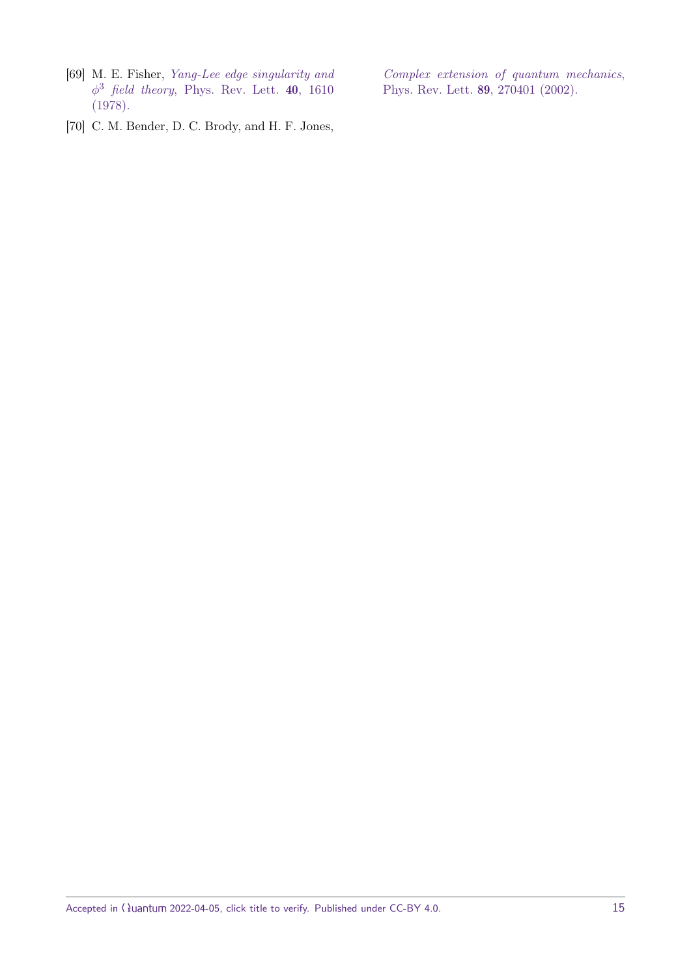<span id="page-14-0"></span>[69] M. E. Fisher, [Yang-Lee edge singularity and](https://doi.org/10.1103/PhysRevLett.40.1610)  $\phi^3$  *field theory*[, Phys. Rev. Lett.](https://doi.org/10.1103/PhysRevLett.40.1610) 40, 1610 [\(1978\).](https://doi.org/10.1103/PhysRevLett.40.1610)

[Complex extension of quantum mechanics](https://doi.org/10.1103/PhysRevLett.89.270401), [Phys. Rev. Lett.](https://doi.org/10.1103/PhysRevLett.89.270401) 89, 270401 (2002).

<span id="page-14-1"></span>[70] C. M. Bender, D. C. Brody, and H. F. Jones,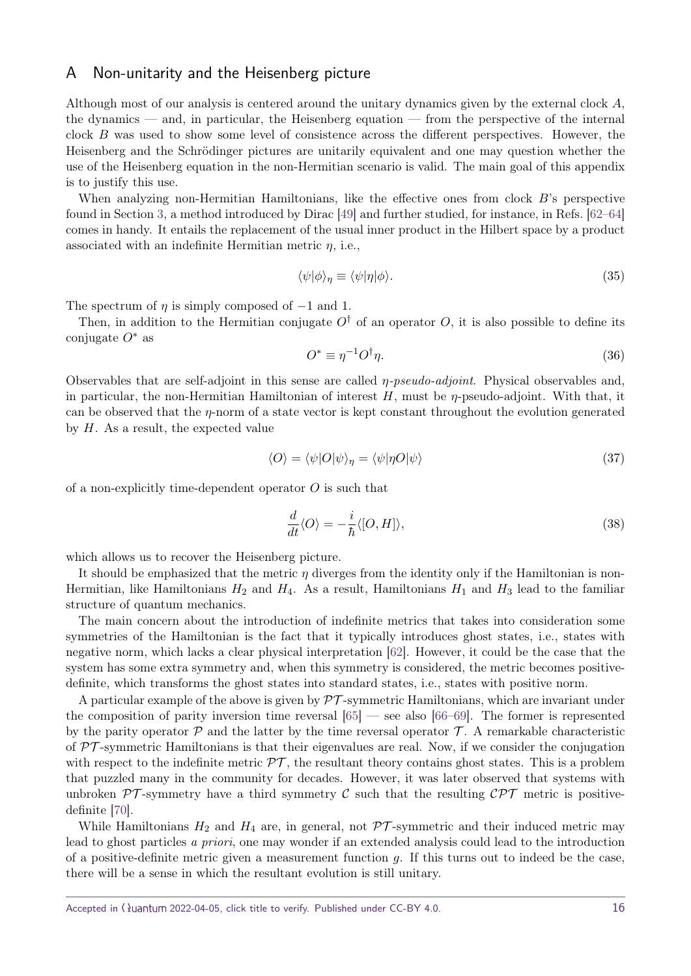## <span id="page-15-0"></span>A Non-unitarity and the Heisenberg picture

Although most of our analysis is centered around the unitary dynamics given by the external clock *A*, the dynamics — and, in particular, the Heisenberg equation — from the perspective of the internal clock *B* was used to show some level of consistence across the different perspectives. However, the Heisenberg and the Schrödinger pictures are unitarily equivalent and one may question whether the use of the Heisenberg equation in the non-Hermitian scenario is valid. The main goal of this appendix is to justify this use.

When analyzing non-Hermitian Hamiltonians, like the effective ones from clock *B*'s perspective found in Section [3,](#page-3-0) a method introduced by Dirac [\[49\]](#page-13-6) and further studied, for instance, in Refs. [\[62–](#page-13-17)[64\]](#page-13-18) comes in handy. It entails the replacement of the usual inner product in the Hilbert space by a product associated with an indefinite Hermitian metric *η*, i.e.,

$$
\langle \psi | \phi \rangle_{\eta} \equiv \langle \psi | \eta | \phi \rangle. \tag{35}
$$

The spectrum of  $\eta$  is simply composed of  $-1$  and 1.

Then, in addition to the Hermitian conjugate  $O^{\dagger}$  of an operator O, it is also possible to define its conjugate *O*<sup>∗</sup> as

$$
O^* \equiv \eta^{-1} O^{\dagger} \eta. \tag{36}
$$

Observables that are self-adjoint in this sense are called *η*-pseudo-adjoint. Physical observables and, in particular, the non-Hermitian Hamiltonian of interest *H*, must be *η*-pseudo-adjoint. With that, it can be observed that the *η*-norm of a state vector is kept constant throughout the evolution generated by *H*. As a result, the expected value

$$
\langle O \rangle = \langle \psi | O | \psi \rangle_{\eta} = \langle \psi | \eta O | \psi \rangle \tag{37}
$$

of a non-explicitly time-dependent operator *O* is such that

$$
\frac{d}{dt}\langle O\rangle = -\frac{i}{\hbar}\langle [O,H]\rangle,\tag{38}
$$

which allows us to recover the Heisenberg picture.

It should be emphasized that the metric *η* diverges from the identity only if the Hamiltonian is non-Hermitian, like Hamiltonians  $H_2$  and  $H_4$ . As a result, Hamiltonians  $H_1$  and  $H_3$  lead to the familiar structure of quantum mechanics.

The main concern about the introduction of indefinite metrics that takes into consideration some symmetries of the Hamiltonian is the fact that it typically introduces ghost states, i.e., states with negative norm, which lacks a clear physical interpretation [\[62\]](#page-13-17). However, it could be the case that the system has some extra symmetry and, when this symmetry is considered, the metric becomes positivedefinite, which transforms the ghost states into standard states, i.e., states with positive norm.

A particular example of the above is given by  $\mathcal{PT}$ -symmetric Hamiltonians, which are invariant under the composition of parity inversion time reversal  $[65]$  — see also  $[66-69]$  $[66-69]$ . The former is represented by the parity operator  $\mathcal P$  and the latter by the time reversal operator  $\mathcal T$ . A remarkable characteristic of  $\mathcal{PT}$ -symmetric Hamiltonians is that their eigenvalues are real. Now, if we consider the conjugation with respect to the indefinite metric  $\mathcal{PT}$ , the resultant theory contains ghost states. This is a problem that puzzled many in the community for decades. However, it was later observed that systems with unbroken  $\mathcal{PT}$ -symmetry have a third symmetry C such that the resulting  $\mathcal{CPT}$  metric is positivedefinite [\[70\]](#page-14-1).

While Hamiltonians  $H_2$  and  $H_4$  are, in general, not  $\mathcal{PT}$ -symmetric and their induced metric may lead to ghost particles a priori, one may wonder if an extended analysis could lead to the introduction of a positive-definite metric given a measurement function *g*. If this turns out to indeed be the case, there will be a sense in which the resultant evolution is still unitary.